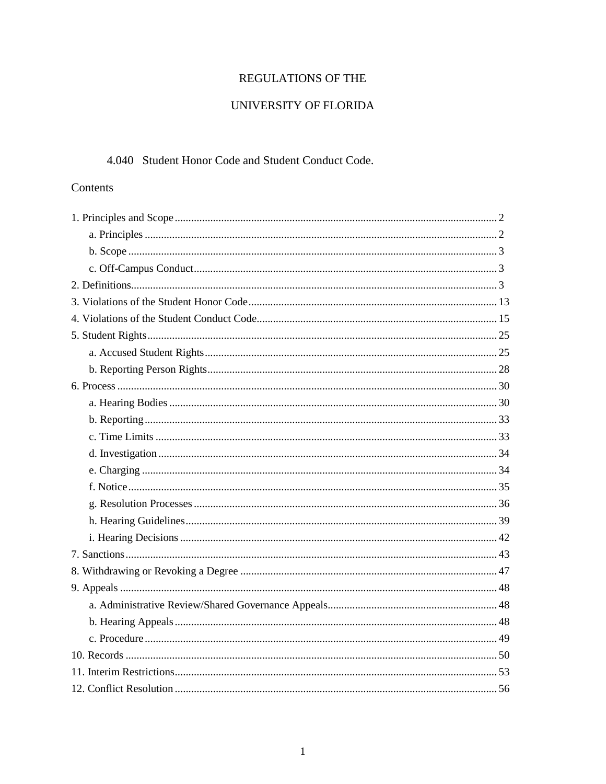# REGULATIONS OF THE

## UNIVERSITY OF FLORIDA

### 4.040 Student Honor Code and Student Conduct Code.

### Contents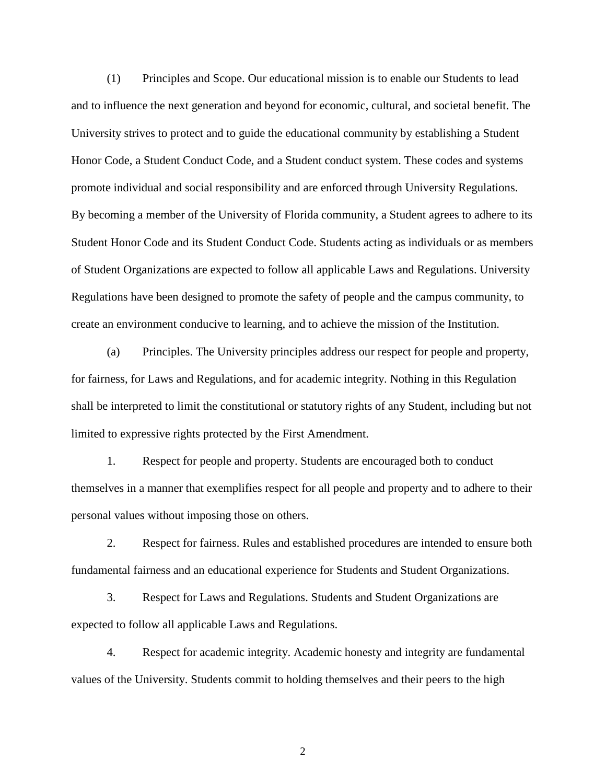(1) Principles and Scope. Our educational mission is to enable our Students to lead and to influence the next generation and beyond for economic, cultural, and societal benefit. The University strives to protect and to guide the educational community by establishing a Student Honor Code, a Student Conduct Code, and a Student conduct system. These codes and systems promote individual and social responsibility and are enforced through University Regulations. By becoming a member of the University of Florida community, a Student agrees to adhere to its Student Honor Code and its Student Conduct Code. Students acting as individuals or as members of Student Organizations are expected to follow all applicable Laws and Regulations. University Regulations have been designed to promote the safety of people and the campus community, to create an environment conducive to learning, and to achieve the mission of the Institution.

(a) Principles. The University principles address our respect for people and property, for fairness, for Laws and Regulations, and for academic integrity. Nothing in this Regulation shall be interpreted to limit the constitutional or statutory rights of any Student, including but not limited to expressive rights protected by the First Amendment.

1. Respect for people and property. Students are encouraged both to conduct themselves in a manner that exemplifies respect for all people and property and to adhere to their personal values without imposing those on others.

2. Respect for fairness. Rules and established procedures are intended to ensure both fundamental fairness and an educational experience for Students and Student Organizations.

3. Respect for Laws and Regulations. Students and Student Organizations are expected to follow all applicable Laws and Regulations.

4. Respect for academic integrity. Academic honesty and integrity are fundamental values of the University. Students commit to holding themselves and their peers to the high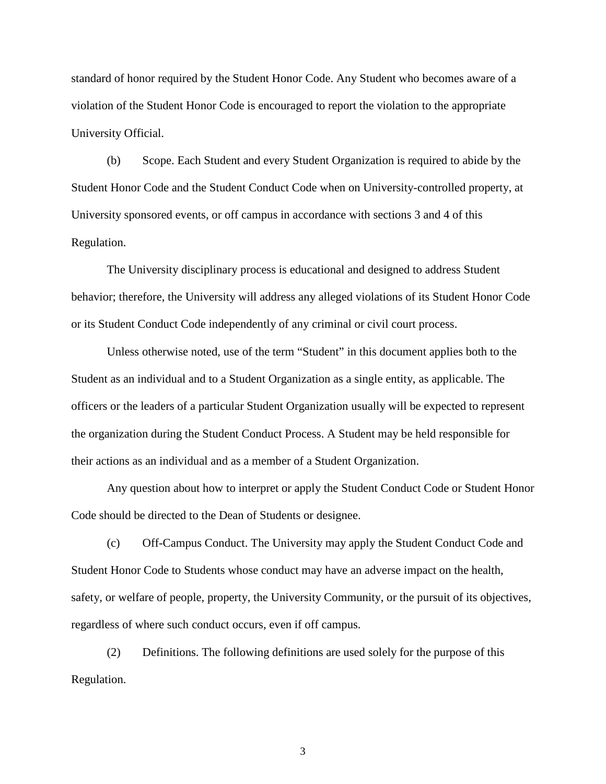standard of honor required by the Student Honor Code. Any Student who becomes aware of a violation of the Student Honor Code is encouraged to report the violation to the appropriate University Official.

(b) Scope. Each Student and every Student Organization is required to abide by the Student Honor Code and the Student Conduct Code when on University-controlled property, at University sponsored events, or off campus in accordance with sections 3 and 4 of this Regulation.

The University disciplinary process is educational and designed to address Student behavior; therefore, the University will address any alleged violations of its Student Honor Code or its Student Conduct Code independently of any criminal or civil court process.

Unless otherwise noted, use of the term "Student" in this document applies both to the Student as an individual and to a Student Organization as a single entity, as applicable. The officers or the leaders of a particular Student Organization usually will be expected to represent the organization during the Student Conduct Process. A Student may be held responsible for their actions as an individual and as a member of a Student Organization.

Any question about how to interpret or apply the Student Conduct Code or Student Honor Code should be directed to the Dean of Students or designee.

(c) Off-Campus Conduct. The University may apply the Student Conduct Code and Student Honor Code to Students whose conduct may have an adverse impact on the health, safety, or welfare of people, property, the University Community, or the pursuit of its objectives, regardless of where such conduct occurs, even if off campus.

(2) Definitions. The following definitions are used solely for the purpose of this Regulation.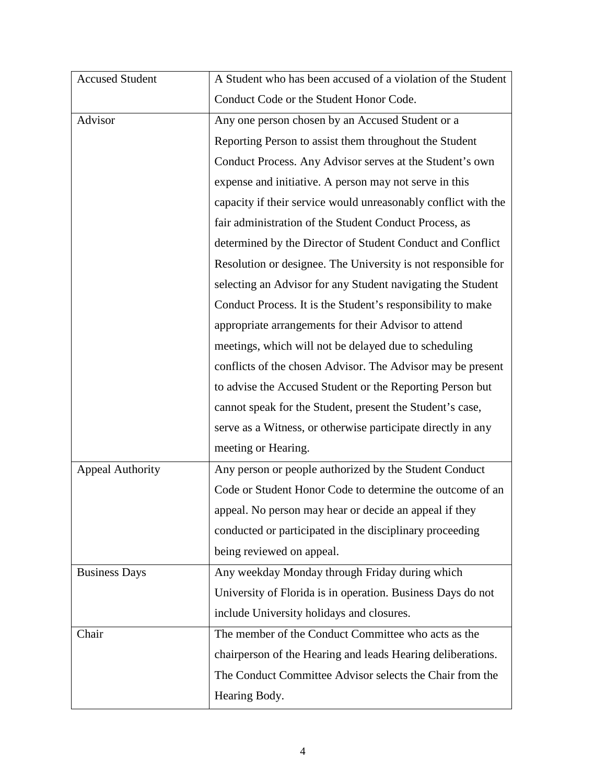| <b>Accused Student</b>  | A Student who has been accused of a violation of the Student   |
|-------------------------|----------------------------------------------------------------|
|                         | Conduct Code or the Student Honor Code.                        |
| Advisor                 | Any one person chosen by an Accused Student or a               |
|                         | Reporting Person to assist them throughout the Student         |
|                         | Conduct Process. Any Advisor serves at the Student's own       |
|                         | expense and initiative. A person may not serve in this         |
|                         | capacity if their service would unreasonably conflict with the |
|                         | fair administration of the Student Conduct Process, as         |
|                         | determined by the Director of Student Conduct and Conflict     |
|                         | Resolution or designee. The University is not responsible for  |
|                         | selecting an Advisor for any Student navigating the Student    |
|                         | Conduct Process. It is the Student's responsibility to make    |
|                         | appropriate arrangements for their Advisor to attend           |
|                         | meetings, which will not be delayed due to scheduling          |
|                         | conflicts of the chosen Advisor. The Advisor may be present    |
|                         | to advise the Accused Student or the Reporting Person but      |
|                         | cannot speak for the Student, present the Student's case,      |
|                         | serve as a Witness, or otherwise participate directly in any   |
|                         | meeting or Hearing.                                            |
| <b>Appeal Authority</b> | Any person or people authorized by the Student Conduct         |
|                         | Code or Student Honor Code to determine the outcome of an      |
|                         | appeal. No person may hear or decide an appeal if they         |
|                         | conducted or participated in the disciplinary proceeding       |
|                         | being reviewed on appeal.                                      |
| <b>Business Days</b>    | Any weekday Monday through Friday during which                 |
|                         | University of Florida is in operation. Business Days do not    |
|                         | include University holidays and closures.                      |
| Chair                   | The member of the Conduct Committee who acts as the            |
|                         | chairperson of the Hearing and leads Hearing deliberations.    |
|                         | The Conduct Committee Advisor selects the Chair from the       |
|                         | Hearing Body.                                                  |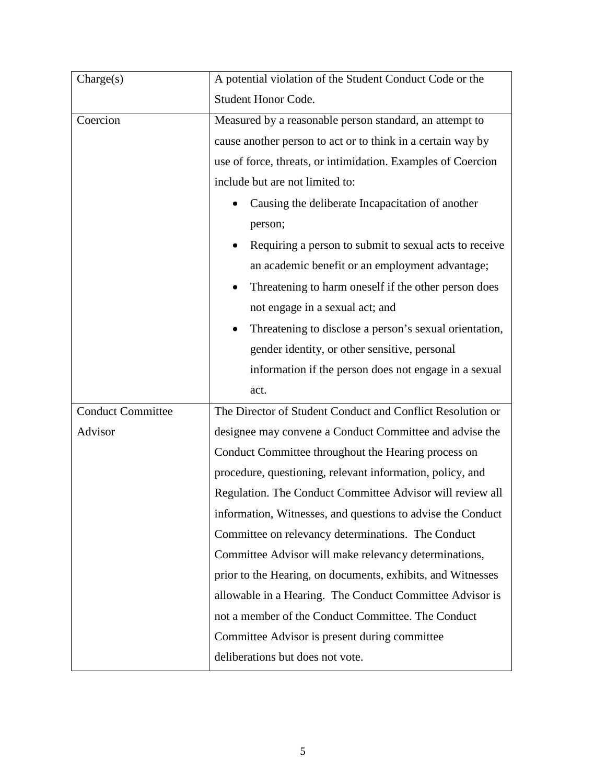| $\text{Change}(s)$       | A potential violation of the Student Conduct Code or the     |
|--------------------------|--------------------------------------------------------------|
|                          | <b>Student Honor Code.</b>                                   |
| Coercion                 | Measured by a reasonable person standard, an attempt to      |
|                          | cause another person to act or to think in a certain way by  |
|                          | use of force, threats, or intimidation. Examples of Coercion |
|                          | include but are not limited to:                              |
|                          | Causing the deliberate Incapacitation of another             |
|                          | person;                                                      |
|                          | Requiring a person to submit to sexual acts to receive       |
|                          | an academic benefit or an employment advantage;              |
|                          | Threatening to harm oneself if the other person does         |
|                          | not engage in a sexual act; and                              |
|                          | Threatening to disclose a person's sexual orientation,       |
|                          | gender identity, or other sensitive, personal                |
|                          | information if the person does not engage in a sexual        |
|                          | act.                                                         |
| <b>Conduct Committee</b> | The Director of Student Conduct and Conflict Resolution or   |
| Advisor                  | designee may convene a Conduct Committee and advise the      |
|                          | Conduct Committee throughout the Hearing process on          |
|                          | procedure, questioning, relevant information, policy, and    |
|                          | Regulation. The Conduct Committee Advisor will review all    |
|                          | information, Witnesses, and questions to advise the Conduct  |
|                          | Committee on relevancy determinations. The Conduct           |
|                          | Committee Advisor will make relevancy determinations,        |
|                          | prior to the Hearing, on documents, exhibits, and Witnesses  |
|                          | allowable in a Hearing. The Conduct Committee Advisor is     |
|                          | not a member of the Conduct Committee. The Conduct           |
|                          | Committee Advisor is present during committee                |
|                          | deliberations but does not vote.                             |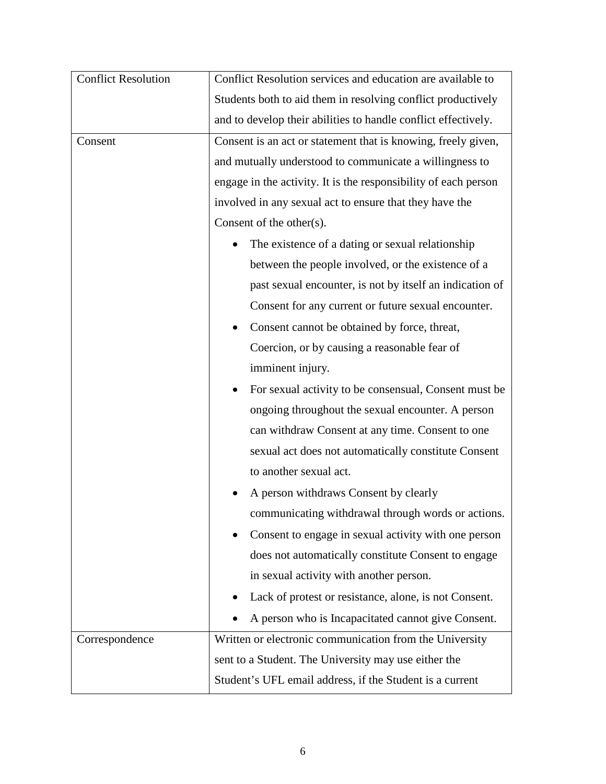| <b>Conflict Resolution</b> | Conflict Resolution services and education are available to     |
|----------------------------|-----------------------------------------------------------------|
|                            | Students both to aid them in resolving conflict productively    |
|                            | and to develop their abilities to handle conflict effectively.  |
| Consent                    | Consent is an act or statement that is knowing, freely given,   |
|                            | and mutually understood to communicate a willingness to         |
|                            | engage in the activity. It is the responsibility of each person |
|                            | involved in any sexual act to ensure that they have the         |
|                            | Consent of the other $(s)$ .                                    |
|                            | The existence of a dating or sexual relationship                |
|                            | between the people involved, or the existence of a              |
|                            | past sexual encounter, is not by itself an indication of        |
|                            | Consent for any current or future sexual encounter.             |
|                            | Consent cannot be obtained by force, threat,                    |
|                            | Coercion, or by causing a reasonable fear of                    |
|                            | imminent injury.                                                |
|                            | For sexual activity to be consensual, Consent must be           |
|                            | ongoing throughout the sexual encounter. A person               |
|                            | can withdraw Consent at any time. Consent to one                |
|                            | sexual act does not automatically constitute Consent            |
|                            | to another sexual act.                                          |
|                            | A person withdraws Consent by clearly                           |
|                            | communicating withdrawal through words or actions.              |
|                            | Consent to engage in sexual activity with one person            |
|                            | does not automatically constitute Consent to engage             |
|                            | in sexual activity with another person.                         |
|                            | Lack of protest or resistance, alone, is not Consent.           |
|                            | A person who is Incapacitated cannot give Consent.              |
| Correspondence             | Written or electronic communication from the University         |
|                            | sent to a Student. The University may use either the            |
|                            | Student's UFL email address, if the Student is a current        |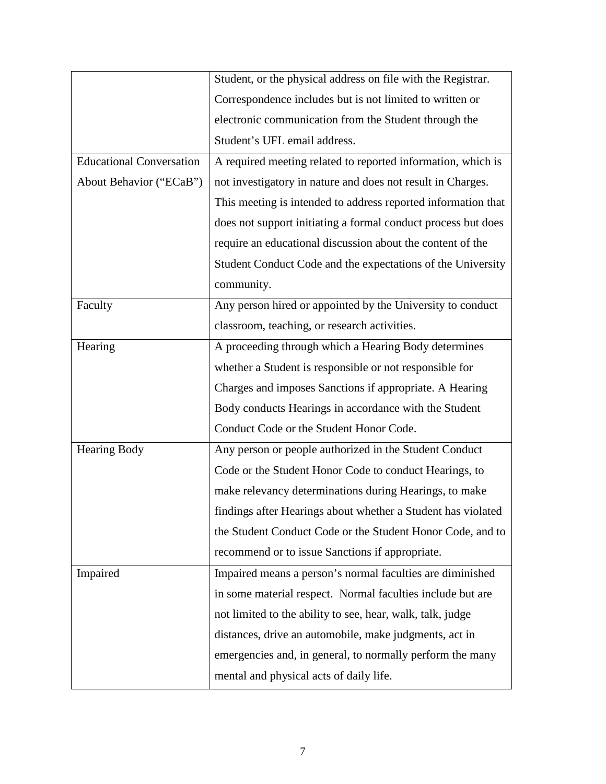|                                 | Student, or the physical address on file with the Registrar.  |
|---------------------------------|---------------------------------------------------------------|
|                                 | Correspondence includes but is not limited to written or      |
|                                 | electronic communication from the Student through the         |
|                                 | Student's UFL email address.                                  |
| <b>Educational Conversation</b> | A required meeting related to reported information, which is  |
| About Behavior ("ECaB")         | not investigatory in nature and does not result in Charges.   |
|                                 | This meeting is intended to address reported information that |
|                                 | does not support initiating a formal conduct process but does |
|                                 | require an educational discussion about the content of the    |
|                                 | Student Conduct Code and the expectations of the University   |
|                                 | community.                                                    |
| Faculty                         | Any person hired or appointed by the University to conduct    |
|                                 | classroom, teaching, or research activities.                  |
| Hearing                         | A proceeding through which a Hearing Body determines          |
|                                 | whether a Student is responsible or not responsible for       |
|                                 | Charges and imposes Sanctions if appropriate. A Hearing       |
|                                 | Body conducts Hearings in accordance with the Student         |
|                                 | Conduct Code or the Student Honor Code.                       |
| Hearing Body                    | Any person or people authorized in the Student Conduct        |
|                                 | Code or the Student Honor Code to conduct Hearings, to        |
|                                 | make relevancy determinations during Hearings, to make        |
|                                 | findings after Hearings about whether a Student has violated  |
|                                 | the Student Conduct Code or the Student Honor Code, and to    |
|                                 | recommend or to issue Sanctions if appropriate.               |
| Impaired                        | Impaired means a person's normal faculties are diminished     |
|                                 | in some material respect. Normal faculties include but are    |
|                                 | not limited to the ability to see, hear, walk, talk, judge    |
|                                 | distances, drive an automobile, make judgments, act in        |
|                                 | emergencies and, in general, to normally perform the many     |
|                                 | mental and physical acts of daily life.                       |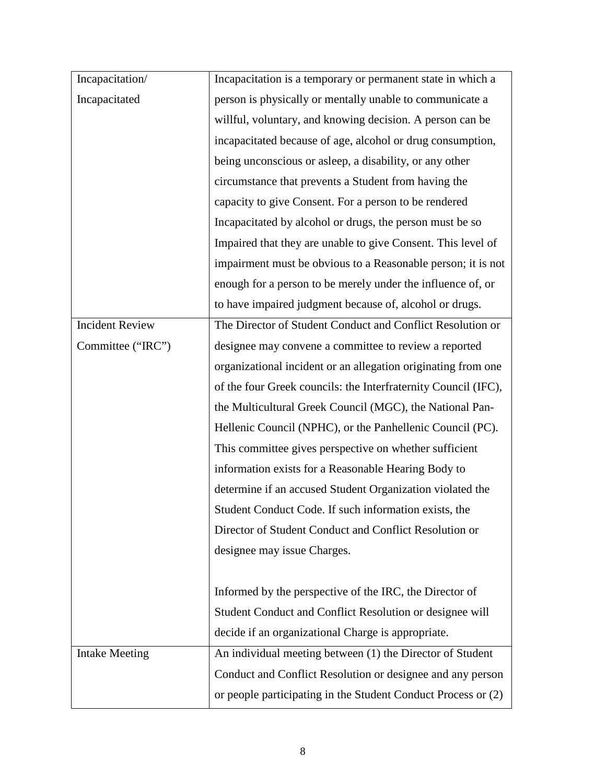| Incapacitation/        | Incapacitation is a temporary or permanent state in which a    |
|------------------------|----------------------------------------------------------------|
| Incapacitated          | person is physically or mentally unable to communicate a       |
|                        | willful, voluntary, and knowing decision. A person can be      |
|                        | incapacitated because of age, alcohol or drug consumption,     |
|                        | being unconscious or asleep, a disability, or any other        |
|                        | circumstance that prevents a Student from having the           |
|                        | capacity to give Consent. For a person to be rendered          |
|                        | Incapacitated by alcohol or drugs, the person must be so       |
|                        | Impaired that they are unable to give Consent. This level of   |
|                        | impairment must be obvious to a Reasonable person; it is not   |
|                        | enough for a person to be merely under the influence of, or    |
|                        | to have impaired judgment because of, alcohol or drugs.        |
| <b>Incident Review</b> | The Director of Student Conduct and Conflict Resolution or     |
| Committee ("IRC")      | designee may convene a committee to review a reported          |
|                        | organizational incident or an allegation originating from one  |
|                        | of the four Greek councils: the Interfraternity Council (IFC), |
|                        | the Multicultural Greek Council (MGC), the National Pan-       |
|                        | Hellenic Council (NPHC), or the Panhellenic Council (PC).      |
|                        | This committee gives perspective on whether sufficient         |
|                        | information exists for a Reasonable Hearing Body to            |
|                        | determine if an accused Student Organization violated the      |
|                        | Student Conduct Code. If such information exists, the          |
|                        | Director of Student Conduct and Conflict Resolution or         |
|                        | designee may issue Charges.                                    |
|                        |                                                                |
|                        | Informed by the perspective of the IRC, the Director of        |
|                        | Student Conduct and Conflict Resolution or designee will       |
|                        | decide if an organizational Charge is appropriate.             |
| <b>Intake Meeting</b>  | An individual meeting between (1) the Director of Student      |
|                        | Conduct and Conflict Resolution or designee and any person     |
|                        | or people participating in the Student Conduct Process or (2)  |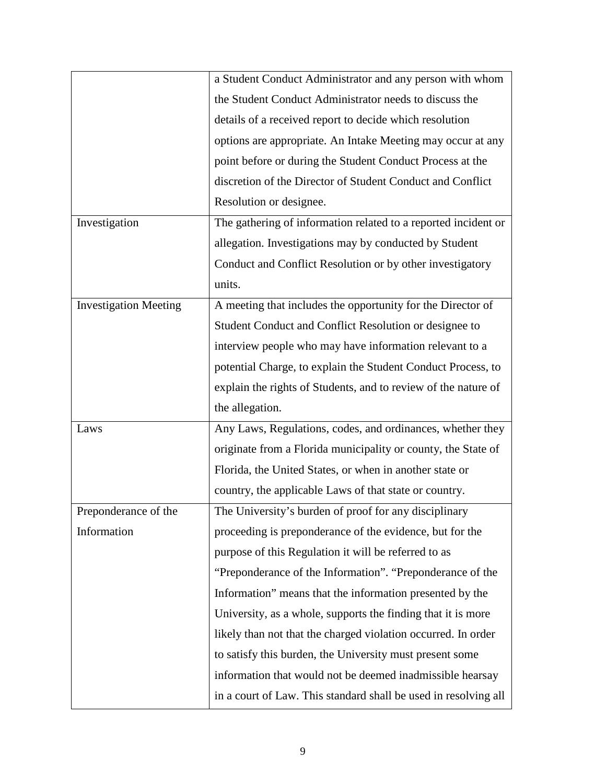|                              | a Student Conduct Administrator and any person with whom        |
|------------------------------|-----------------------------------------------------------------|
|                              | the Student Conduct Administrator needs to discuss the          |
|                              | details of a received report to decide which resolution         |
|                              | options are appropriate. An Intake Meeting may occur at any     |
|                              | point before or during the Student Conduct Process at the       |
|                              | discretion of the Director of Student Conduct and Conflict      |
|                              | Resolution or designee.                                         |
| Investigation                | The gathering of information related to a reported incident or  |
|                              | allegation. Investigations may by conducted by Student          |
|                              | Conduct and Conflict Resolution or by other investigatory       |
|                              | units.                                                          |
| <b>Investigation Meeting</b> | A meeting that includes the opportunity for the Director of     |
|                              | Student Conduct and Conflict Resolution or designee to          |
|                              | interview people who may have information relevant to a         |
|                              | potential Charge, to explain the Student Conduct Process, to    |
|                              | explain the rights of Students, and to review of the nature of  |
|                              | the allegation.                                                 |
| Laws                         | Any Laws, Regulations, codes, and ordinances, whether they      |
|                              | originate from a Florida municipality or county, the State of   |
|                              | Florida, the United States, or when in another state or         |
|                              | country, the applicable Laws of that state or country.          |
| Preponderance of the         | The University's burden of proof for any disciplinary           |
| Information                  | proceeding is preponderance of the evidence, but for the        |
|                              | purpose of this Regulation it will be referred to as            |
|                              | "Preponderance of the Information". "Preponderance of the       |
|                              | Information" means that the information presented by the        |
|                              | University, as a whole, supports the finding that it is more    |
|                              | likely than not that the charged violation occurred. In order   |
|                              | to satisfy this burden, the University must present some        |
|                              | information that would not be deemed inadmissible hearsay       |
|                              | in a court of Law. This standard shall be used in resolving all |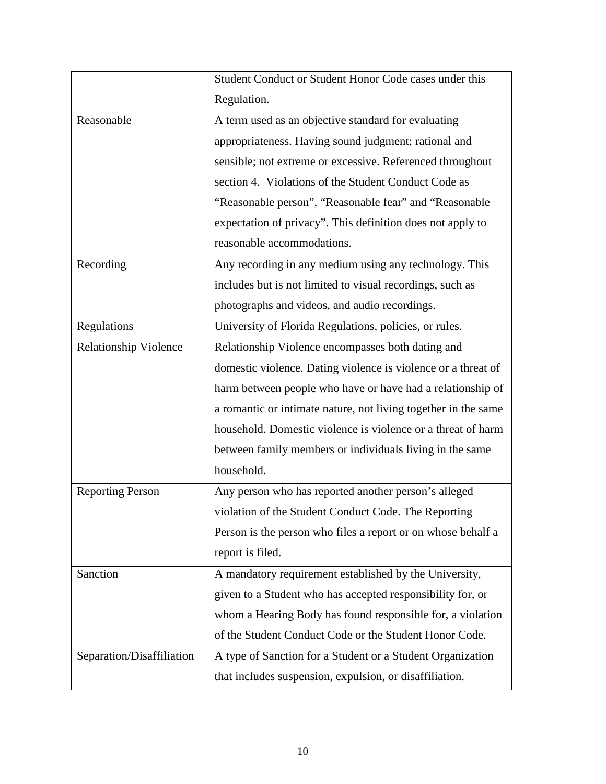|                              | Student Conduct or Student Honor Code cases under this         |
|------------------------------|----------------------------------------------------------------|
|                              | Regulation.                                                    |
| Reasonable                   | A term used as an objective standard for evaluating            |
|                              | appropriateness. Having sound judgment; rational and           |
|                              | sensible; not extreme or excessive. Referenced throughout      |
|                              | section 4. Violations of the Student Conduct Code as           |
|                              | "Reasonable person", "Reasonable fear" and "Reasonable         |
|                              | expectation of privacy". This definition does not apply to     |
|                              | reasonable accommodations.                                     |
| Recording                    | Any recording in any medium using any technology. This         |
|                              | includes but is not limited to visual recordings, such as      |
|                              | photographs and videos, and audio recordings.                  |
| Regulations                  | University of Florida Regulations, policies, or rules.         |
| <b>Relationship Violence</b> | Relationship Violence encompasses both dating and              |
|                              | domestic violence. Dating violence is violence or a threat of  |
|                              | harm between people who have or have had a relationship of     |
|                              | a romantic or intimate nature, not living together in the same |
|                              | household. Domestic violence is violence or a threat of harm   |
|                              | between family members or individuals living in the same       |
|                              | household.                                                     |
| <b>Reporting Person</b>      | Any person who has reported another person's alleged           |
|                              | violation of the Student Conduct Code. The Reporting           |
|                              | Person is the person who files a report or on whose behalf a   |
|                              | report is filed.                                               |
| Sanction                     | A mandatory requirement established by the University,         |
|                              | given to a Student who has accepted responsibility for, or     |
|                              | whom a Hearing Body has found responsible for, a violation     |
|                              | of the Student Conduct Code or the Student Honor Code.         |
| Separation/Disaffiliation    | A type of Sanction for a Student or a Student Organization     |
|                              | that includes suspension, expulsion, or disaffiliation.        |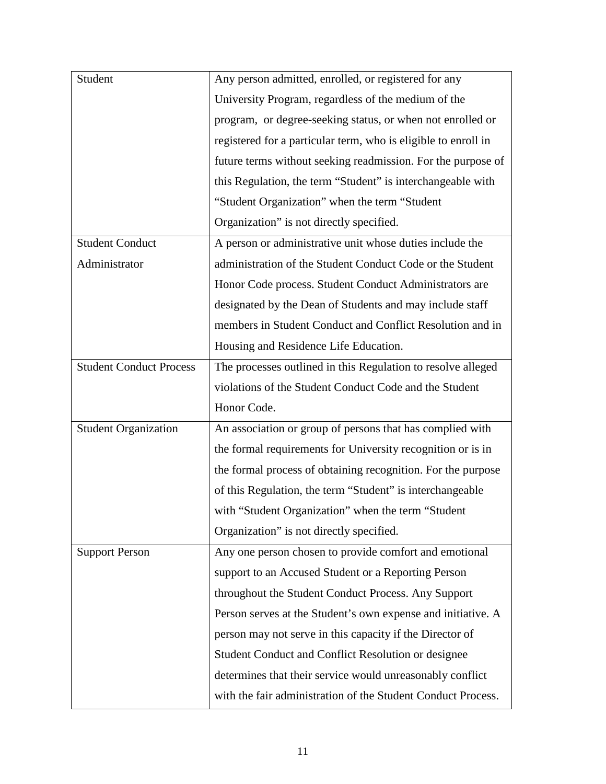| Student                        | Any person admitted, enrolled, or registered for any           |
|--------------------------------|----------------------------------------------------------------|
|                                | University Program, regardless of the medium of the            |
|                                | program, or degree-seeking status, or when not enrolled or     |
|                                | registered for a particular term, who is eligible to enroll in |
|                                | future terms without seeking readmission. For the purpose of   |
|                                | this Regulation, the term "Student" is interchangeable with    |
|                                | "Student Organization" when the term "Student"                 |
|                                | Organization" is not directly specified.                       |
| <b>Student Conduct</b>         | A person or administrative unit whose duties include the       |
| Administrator                  | administration of the Student Conduct Code or the Student      |
|                                | Honor Code process. Student Conduct Administrators are         |
|                                | designated by the Dean of Students and may include staff       |
|                                | members in Student Conduct and Conflict Resolution and in      |
|                                | Housing and Residence Life Education.                          |
| <b>Student Conduct Process</b> | The processes outlined in this Regulation to resolve alleged   |
|                                | violations of the Student Conduct Code and the Student         |
|                                | Honor Code.                                                    |
| <b>Student Organization</b>    | An association or group of persons that has complied with      |
|                                | the formal requirements for University recognition or is in    |
|                                | the formal process of obtaining recognition. For the purpose   |
|                                | of this Regulation, the term "Student" is interchangeable      |
|                                | with "Student Organization" when the term "Student             |
|                                | Organization" is not directly specified.                       |
| <b>Support Person</b>          | Any one person chosen to provide comfort and emotional         |
|                                | support to an Accused Student or a Reporting Person            |
|                                | throughout the Student Conduct Process. Any Support            |
|                                | Person serves at the Student's own expense and initiative. A   |
|                                | person may not serve in this capacity if the Director of       |
|                                | Student Conduct and Conflict Resolution or designee            |
|                                | determines that their service would unreasonably conflict      |
|                                | with the fair administration of the Student Conduct Process.   |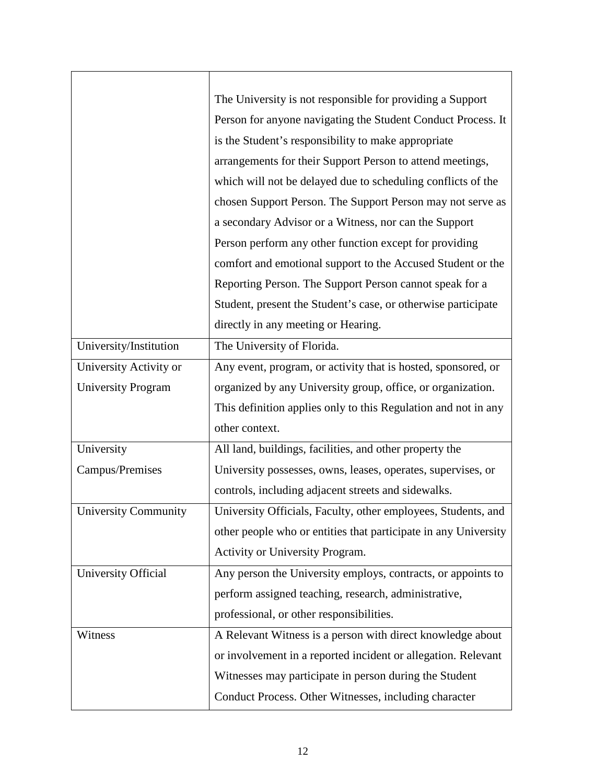|                             | The University is not responsible for providing a Support       |
|-----------------------------|-----------------------------------------------------------------|
|                             | Person for anyone navigating the Student Conduct Process. It    |
|                             | is the Student's responsibility to make appropriate             |
|                             | arrangements for their Support Person to attend meetings,       |
|                             | which will not be delayed due to scheduling conflicts of the    |
|                             | chosen Support Person. The Support Person may not serve as      |
|                             | a secondary Advisor or a Witness, nor can the Support           |
|                             | Person perform any other function except for providing          |
|                             | comfort and emotional support to the Accused Student or the     |
|                             | Reporting Person. The Support Person cannot speak for a         |
|                             | Student, present the Student's case, or otherwise participate   |
|                             | directly in any meeting or Hearing.                             |
| University/Institution      | The University of Florida.                                      |
| University Activity or      | Any event, program, or activity that is hosted, sponsored, or   |
| University Program          | organized by any University group, office, or organization.     |
|                             | This definition applies only to this Regulation and not in any  |
|                             | other context.                                                  |
| University                  | All land, buildings, facilities, and other property the         |
| Campus/Premises             | University possesses, owns, leases, operates, supervises, or    |
|                             | controls, including adjacent streets and sidewalks.             |
| <b>University Community</b> | University Officials, Faculty, other employees, Students, and   |
|                             | other people who or entities that participate in any University |
|                             | Activity or University Program.                                 |
| University Official         | Any person the University employs, contracts, or appoints to    |
|                             | perform assigned teaching, research, administrative,            |
|                             | professional, or other responsibilities.                        |
| Witness                     | A Relevant Witness is a person with direct knowledge about      |
|                             |                                                                 |
|                             | or involvement in a reported incident or allegation. Relevant   |
|                             | Witnesses may participate in person during the Student          |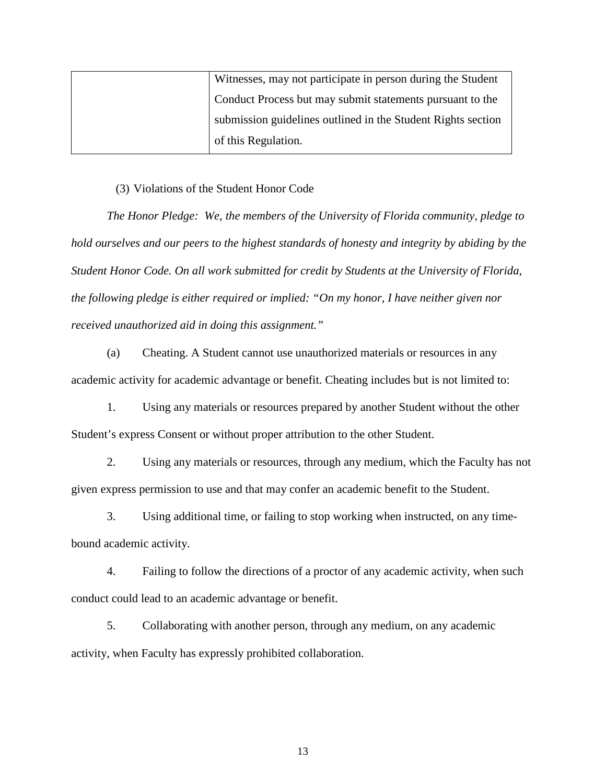| Witnesses, may not participate in person during the Student  |
|--------------------------------------------------------------|
| Conduct Process but may submit statements pursuant to the    |
| submission guidelines outlined in the Student Rights section |
| of this Regulation.                                          |

#### (3) Violations of the Student Honor Code

*The Honor Pledge: We, the members of the University of Florida community, pledge to hold ourselves and our peers to the highest standards of honesty and integrity by abiding by the Student Honor Code. On all work submitted for credit by Students at the University of Florida, the following pledge is either required or implied: "On my honor, I have neither given nor received unauthorized aid in doing this assignment."*

(a) Cheating. A Student cannot use unauthorized materials or resources in any academic activity for academic advantage or benefit. Cheating includes but is not limited to:

1. Using any materials or resources prepared by another Student without the other Student's express Consent or without proper attribution to the other Student.

2. Using any materials or resources, through any medium, which the Faculty has not given express permission to use and that may confer an academic benefit to the Student.

3. Using additional time, or failing to stop working when instructed, on any timebound academic activity.

4. Failing to follow the directions of a proctor of any academic activity, when such conduct could lead to an academic advantage or benefit.

5. Collaborating with another person, through any medium, on any academic activity, when Faculty has expressly prohibited collaboration.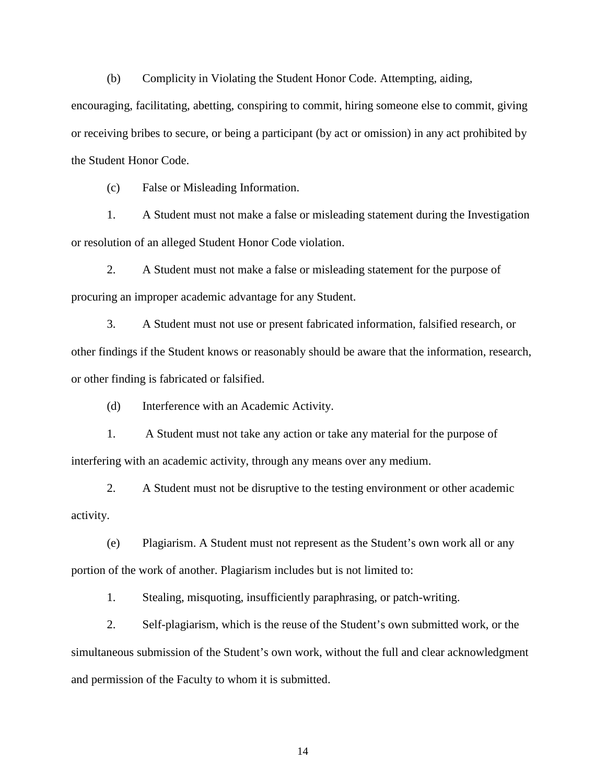(b) Complicity in Violating the Student Honor Code. Attempting, aiding,

encouraging, facilitating, abetting, conspiring to commit, hiring someone else to commit, giving or receiving bribes to secure, or being a participant (by act or omission) in any act prohibited by the Student Honor Code.

(c) False or Misleading Information.

1. A Student must not make a false or misleading statement during the Investigation or resolution of an alleged Student Honor Code violation.

2. A Student must not make a false or misleading statement for the purpose of procuring an improper academic advantage for any Student.

3. A Student must not use or present fabricated information, falsified research, or other findings if the Student knows or reasonably should be aware that the information, research, or other finding is fabricated or falsified.

(d) Interference with an Academic Activity.

1. A Student must not take any action or take any material for the purpose of interfering with an academic activity, through any means over any medium.

2. A Student must not be disruptive to the testing environment or other academic activity.

(e) Plagiarism. A Student must not represent as the Student's own work all or any portion of the work of another. Plagiarism includes but is not limited to:

1. Stealing, misquoting, insufficiently paraphrasing, or patch-writing.

2. Self-plagiarism, which is the reuse of the Student's own submitted work, or the simultaneous submission of the Student's own work, without the full and clear acknowledgment and permission of the Faculty to whom it is submitted.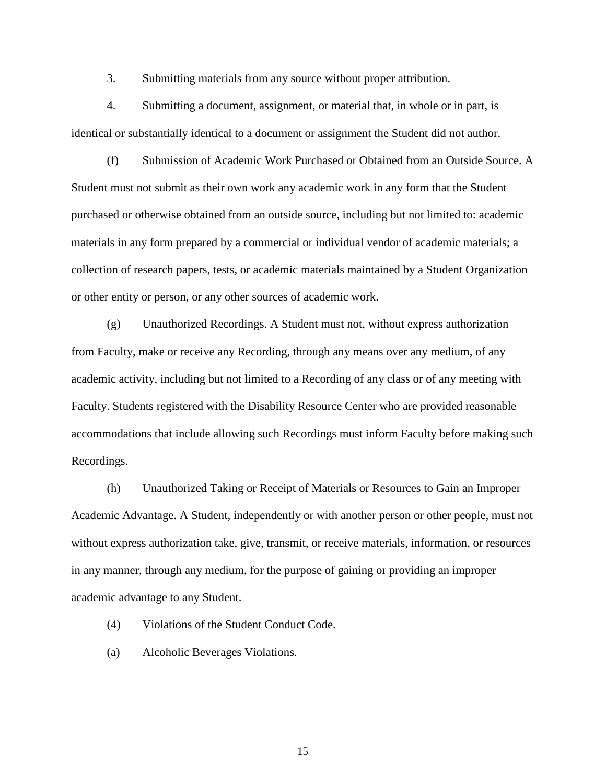3. Submitting materials from any source without proper attribution.

4. Submitting a document, assignment, or material that, in whole or in part, is identical or substantially identical to a document or assignment the Student did not author.

(f) Submission of Academic Work Purchased or Obtained from an Outside Source. A Student must not submit as their own work any academic work in any form that the Student purchased or otherwise obtained from an outside source, including but not limited to: academic materials in any form prepared by a commercial or individual vendor of academic materials; a collection of research papers, tests, or academic materials maintained by a Student Organization or other entity or person, or any other sources of academic work.

(g) Unauthorized Recordings. A Student must not, without express authorization from Faculty, make or receive any Recording, through any means over any medium, of any academic activity, including but not limited to a Recording of any class or of any meeting with Faculty. Students registered with the Disability Resource Center who are provided reasonable accommodations that include allowing such Recordings must inform Faculty before making such Recordings.

(h) Unauthorized Taking or Receipt of Materials or Resources to Gain an Improper Academic Advantage. A Student, independently or with another person or other people, must not without express authorization take, give, transmit, or receive materials, information, or resources in any manner, through any medium, for the purpose of gaining or providing an improper academic advantage to any Student.

- (4) Violations of the Student Conduct Code.
- (a) Alcoholic Beverages Violations.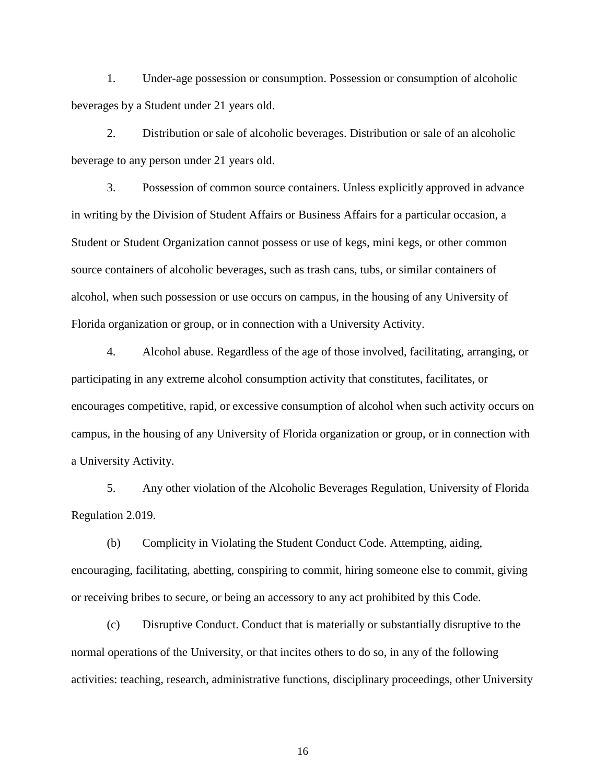1. Under-age possession or consumption. Possession or consumption of alcoholic beverages by a Student under 21 years old.

2. Distribution or sale of alcoholic beverages. Distribution or sale of an alcoholic beverage to any person under 21 years old.

3. Possession of common source containers. Unless explicitly approved in advance in writing by the Division of Student Affairs or Business Affairs for a particular occasion, a Student or Student Organization cannot possess or use of kegs, mini kegs, or other common source containers of alcoholic beverages, such as trash cans, tubs, or similar containers of alcohol, when such possession or use occurs on campus, in the housing of any University of Florida organization or group, or in connection with a University Activity.

4. Alcohol abuse. Regardless of the age of those involved, facilitating, arranging, or participating in any extreme alcohol consumption activity that constitutes, facilitates, or encourages competitive, rapid, or excessive consumption of alcohol when such activity occurs on campus, in the housing of any University of Florida organization or group, or in connection with a University Activity.

5. Any other violation of the Alcoholic Beverages Regulation, University of Florida Regulation 2.019.

(b) Complicity in Violating the Student Conduct Code. Attempting, aiding, encouraging, facilitating, abetting, conspiring to commit, hiring someone else to commit, giving or receiving bribes to secure, or being an accessory to any act prohibited by this Code.

(c) Disruptive Conduct. Conduct that is materially or substantially disruptive to the normal operations of the University, or that incites others to do so, in any of the following activities: teaching, research, administrative functions, disciplinary proceedings, other University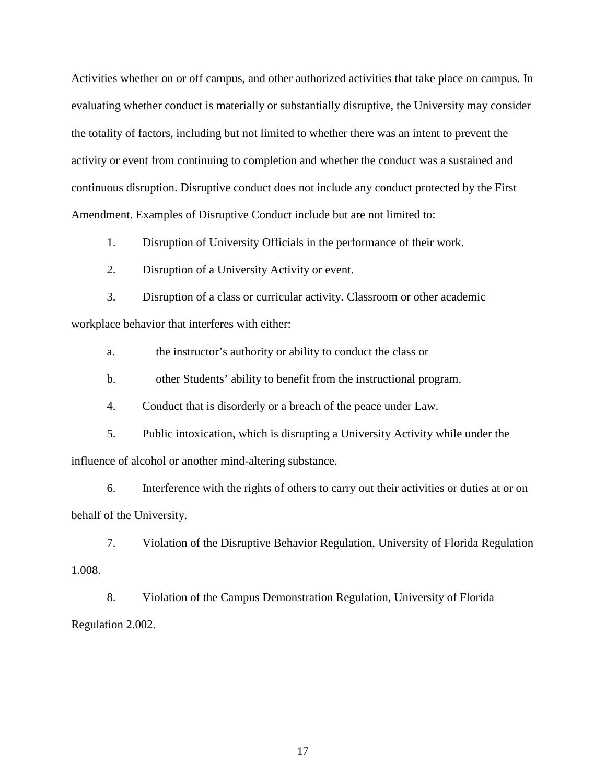Activities whether on or off campus, and other authorized activities that take place on campus. In evaluating whether conduct is materially or substantially disruptive, the University may consider the totality of factors, including but not limited to whether there was an intent to prevent the activity or event from continuing to completion and whether the conduct was a sustained and continuous disruption. Disruptive conduct does not include any conduct protected by the First Amendment. Examples of Disruptive Conduct include but are not limited to:

1. Disruption of University Officials in the performance of their work.

2. Disruption of a University Activity or event.

3. Disruption of a class or curricular activity. Classroom or other academic workplace behavior that interferes with either:

a. the instructor's authority or ability to conduct the class or

b. other Students' ability to benefit from the instructional program.

4. Conduct that is disorderly or a breach of the peace under Law.

5. Public intoxication, which is disrupting a University Activity while under the influence of alcohol or another mind-altering substance.

6. Interference with the rights of others to carry out their activities or duties at or on behalf of the University.

7. Violation of the Disruptive Behavior Regulation, University of Florida Regulation 1.008.

8. Violation of the Campus Demonstration Regulation, University of Florida Regulation 2.002.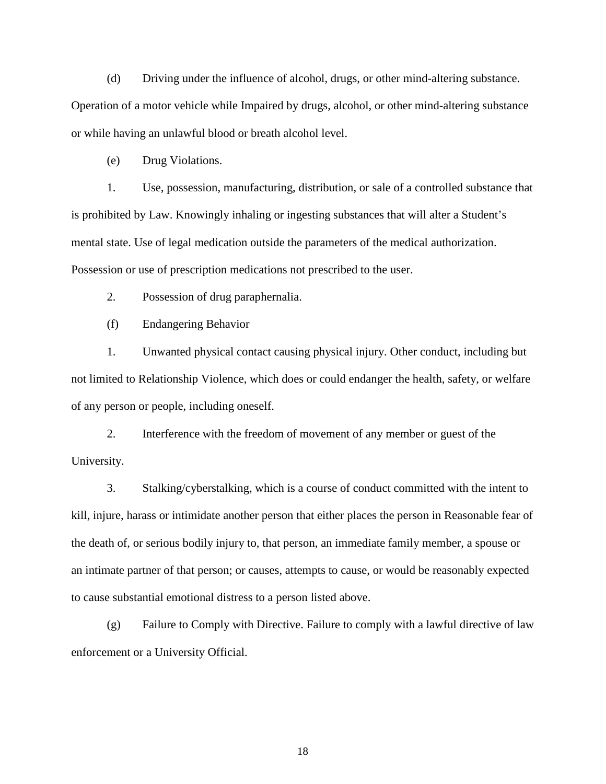(d) Driving under the influence of alcohol, drugs, or other mind-altering substance. Operation of a motor vehicle while Impaired by drugs, alcohol, or other mind-altering substance or while having an unlawful blood or breath alcohol level.

(e) Drug Violations.

1. Use, possession, manufacturing, distribution, or sale of a controlled substance that is prohibited by Law. Knowingly inhaling or ingesting substances that will alter a Student's mental state. Use of legal medication outside the parameters of the medical authorization. Possession or use of prescription medications not prescribed to the user.

2. Possession of drug paraphernalia.

(f) Endangering Behavior

1. Unwanted physical contact causing physical injury. Other conduct, including but not limited to Relationship Violence, which does or could endanger the health, safety, or welfare of any person or people, including oneself.

2. Interference with the freedom of movement of any member or guest of the University.

3. Stalking/cyberstalking, which is a course of conduct committed with the intent to kill, injure, harass or intimidate another person that either places the person in Reasonable fear of the death of, or serious bodily injury to, that person, an immediate family member, a spouse or an intimate partner of that person; or causes, attempts to cause, or would be reasonably expected to cause substantial emotional distress to a person listed above.

(g) Failure to Comply with Directive. Failure to comply with a lawful directive of law enforcement or a University Official.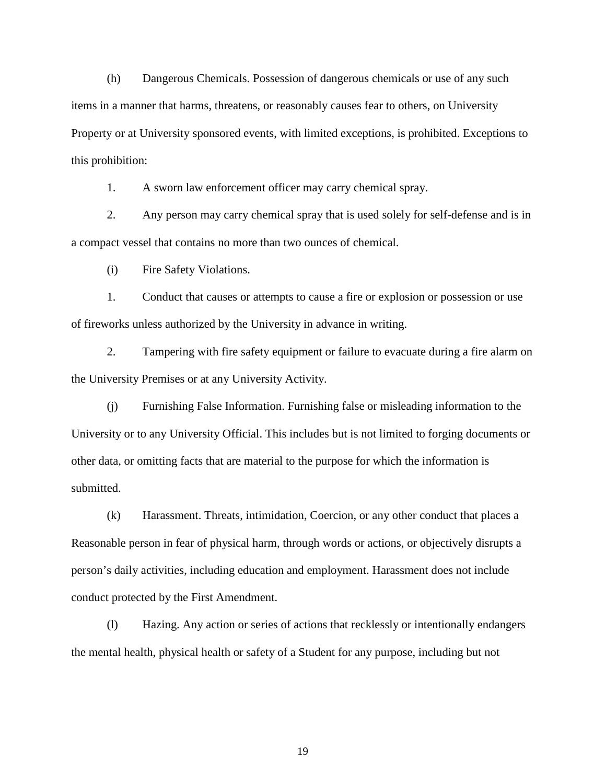(h) Dangerous Chemicals. Possession of dangerous chemicals or use of any such items in a manner that harms, threatens, or reasonably causes fear to others, on University Property or at University sponsored events, with limited exceptions, is prohibited. Exceptions to this prohibition:

1. A sworn law enforcement officer may carry chemical spray.

2. Any person may carry chemical spray that is used solely for self-defense and is in a compact vessel that contains no more than two ounces of chemical.

(i) Fire Safety Violations.

1. Conduct that causes or attempts to cause a fire or explosion or possession or use of fireworks unless authorized by the University in advance in writing.

2. Tampering with fire safety equipment or failure to evacuate during a fire alarm on the University Premises or at any University Activity.

(j) Furnishing False Information. Furnishing false or misleading information to the University or to any University Official. This includes but is not limited to forging documents or other data, or omitting facts that are material to the purpose for which the information is submitted.

(k) Harassment. Threats, intimidation, Coercion, or any other conduct that places a Reasonable person in fear of physical harm, through words or actions, or objectively disrupts a person's daily activities, including education and employment. Harassment does not include conduct protected by the First Amendment.

(l) Hazing. Any action or series of actions that recklessly or intentionally endangers the mental health, physical health or safety of a Student for any purpose, including but not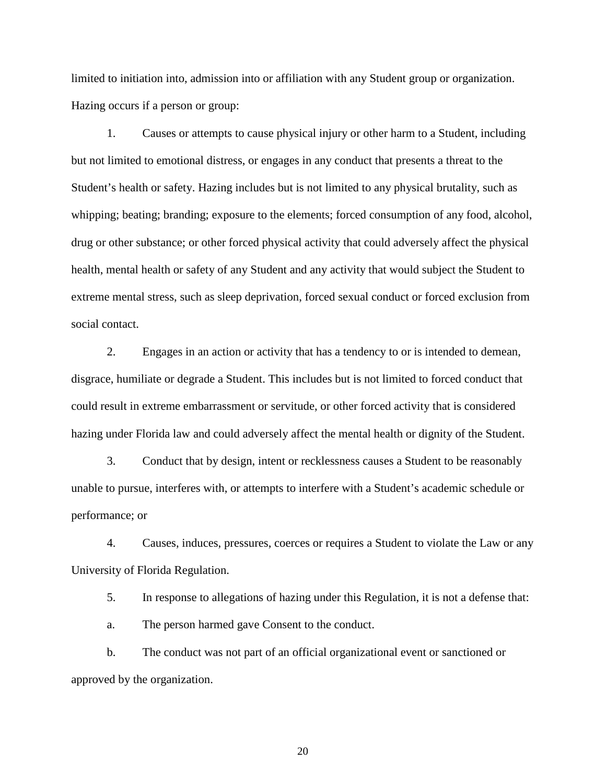limited to initiation into, admission into or affiliation with any Student group or organization. Hazing occurs if a person or group:

1. Causes or attempts to cause physical injury or other harm to a Student, including but not limited to emotional distress, or engages in any conduct that presents a threat to the Student's health or safety. Hazing includes but is not limited to any physical brutality, such as whipping; beating; branding; exposure to the elements; forced consumption of any food, alcohol, drug or other substance; or other forced physical activity that could adversely affect the physical health, mental health or safety of any Student and any activity that would subject the Student to extreme mental stress, such as sleep deprivation, forced sexual conduct or forced exclusion from social contact.

2. Engages in an action or activity that has a tendency to or is intended to demean, disgrace, humiliate or degrade a Student. This includes but is not limited to forced conduct that could result in extreme embarrassment or servitude, or other forced activity that is considered hazing under Florida law and could adversely affect the mental health or dignity of the Student.

3. Conduct that by design, intent or recklessness causes a Student to be reasonably unable to pursue, interferes with, or attempts to interfere with a Student's academic schedule or performance; or

4. Causes, induces, pressures, coerces or requires a Student to violate the Law or any University of Florida Regulation.

5. In response to allegations of hazing under this Regulation, it is not a defense that:

a. The person harmed gave Consent to the conduct.

b. The conduct was not part of an official organizational event or sanctioned or approved by the organization.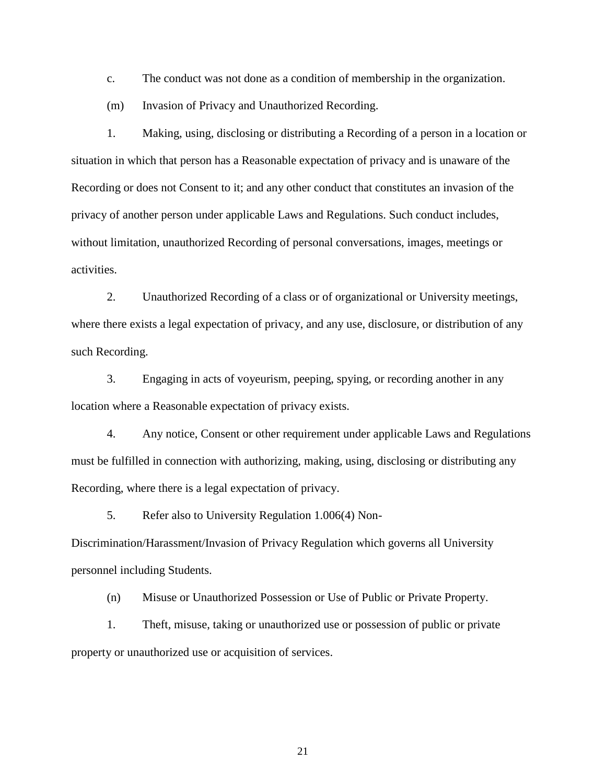c. The conduct was not done as a condition of membership in the organization.

(m) Invasion of Privacy and Unauthorized Recording.

1. Making, using, disclosing or distributing a Recording of a person in a location or situation in which that person has a Reasonable expectation of privacy and is unaware of the Recording or does not Consent to it; and any other conduct that constitutes an invasion of the privacy of another person under applicable Laws and Regulations. Such conduct includes, without limitation, unauthorized Recording of personal conversations, images, meetings or activities.

2. Unauthorized Recording of a class or of organizational or University meetings, where there exists a legal expectation of privacy, and any use, disclosure, or distribution of any such Recording.

3. Engaging in acts of voyeurism, peeping, spying, or recording another in any location where a Reasonable expectation of privacy exists.

4. Any notice, Consent or other requirement under applicable Laws and Regulations must be fulfilled in connection with authorizing, making, using, disclosing or distributing any Recording, where there is a legal expectation of privacy.

5. Refer also to University Regulation 1.006(4) Non-

Discrimination/Harassment/Invasion of Privacy Regulation which governs all University personnel including Students.

(n) Misuse or Unauthorized Possession or Use of Public or Private Property.

1. Theft, misuse, taking or unauthorized use or possession of public or private property or unauthorized use or acquisition of services.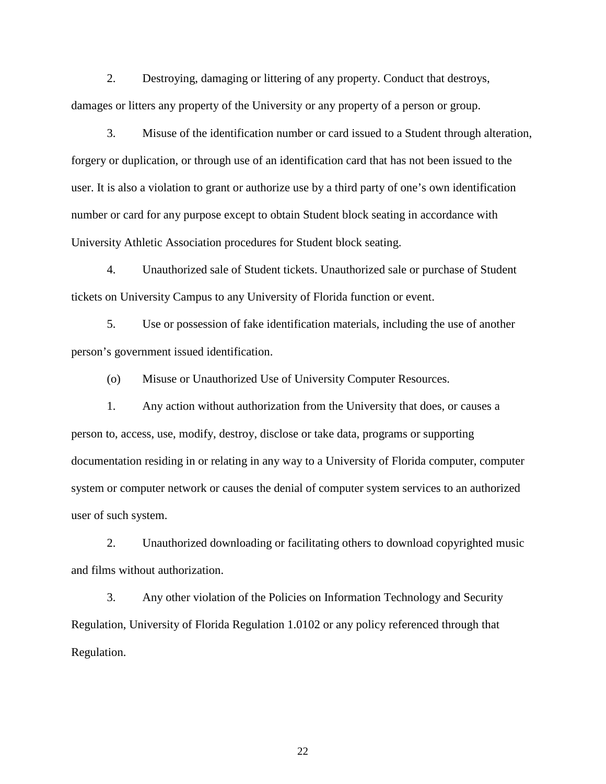2. Destroying, damaging or littering of any property. Conduct that destroys, damages or litters any property of the University or any property of a person or group.

3. Misuse of the identification number or card issued to a Student through alteration, forgery or duplication, or through use of an identification card that has not been issued to the user. It is also a violation to grant or authorize use by a third party of one's own identification number or card for any purpose except to obtain Student block seating in accordance with University Athletic Association procedures for Student block seating.

4. Unauthorized sale of Student tickets. Unauthorized sale or purchase of Student tickets on University Campus to any University of Florida function or event.

5. Use or possession of fake identification materials, including the use of another person's government issued identification.

(o) Misuse or Unauthorized Use of University Computer Resources.

1. Any action without authorization from the University that does, or causes a person to, access, use, modify, destroy, disclose or take data, programs or supporting documentation residing in or relating in any way to a University of Florida computer, computer system or computer network or causes the denial of computer system services to an authorized user of such system.

2. Unauthorized downloading or facilitating others to download copyrighted music and films without authorization.

3. Any other violation of the Policies on Information Technology and Security Regulation, University of Florida Regulation 1.0102 or any policy referenced through that Regulation.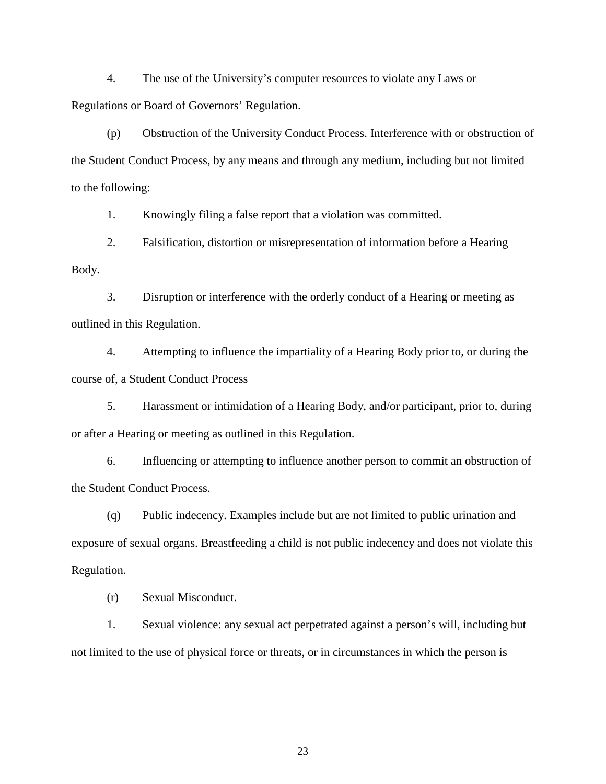4. The use of the University's computer resources to violate any Laws or Regulations or Board of Governors' Regulation.

(p) Obstruction of the University Conduct Process. Interference with or obstruction of the Student Conduct Process, by any means and through any medium, including but not limited to the following:

1. Knowingly filing a false report that a violation was committed.

2. Falsification, distortion or misrepresentation of information before a Hearing Body.

3. Disruption or interference with the orderly conduct of a Hearing or meeting as outlined in this Regulation.

4. Attempting to influence the impartiality of a Hearing Body prior to, or during the course of, a Student Conduct Process

5. Harassment or intimidation of a Hearing Body, and/or participant, prior to, during or after a Hearing or meeting as outlined in this Regulation.

6. Influencing or attempting to influence another person to commit an obstruction of the Student Conduct Process.

(q) Public indecency. Examples include but are not limited to public urination and exposure of sexual organs. Breastfeeding a child is not public indecency and does not violate this Regulation.

(r) Sexual Misconduct.

1. Sexual violence: any sexual act perpetrated against a person's will, including but not limited to the use of physical force or threats, or in circumstances in which the person is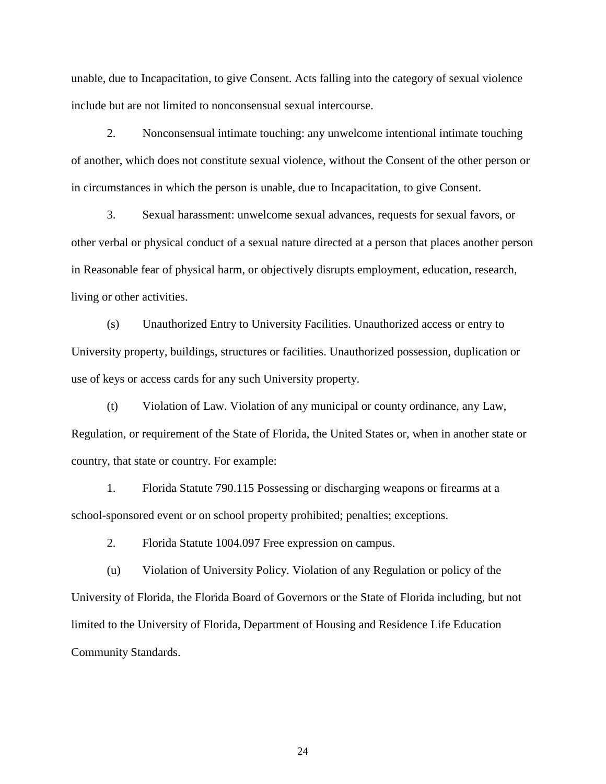unable, due to Incapacitation, to give Consent. Acts falling into the category of sexual violence include but are not limited to nonconsensual sexual intercourse.

2. Nonconsensual intimate touching: any unwelcome intentional intimate touching of another, which does not constitute sexual violence, without the Consent of the other person or in circumstances in which the person is unable, due to Incapacitation, to give Consent.

3. Sexual harassment: unwelcome sexual advances, requests for sexual favors, or other verbal or physical conduct of a sexual nature directed at a person that places another person in Reasonable fear of physical harm, or objectively disrupts employment, education, research, living or other activities.

(s) Unauthorized Entry to University Facilities. Unauthorized access or entry to University property, buildings, structures or facilities. Unauthorized possession, duplication or use of keys or access cards for any such University property.

(t) Violation of Law. Violation of any municipal or county ordinance, any Law, Regulation, or requirement of the State of Florida, the United States or, when in another state or country, that state or country. For example:

1. Florida Statute 790.115 Possessing or discharging weapons or firearms at a school-sponsored event or on school property prohibited; penalties; exceptions.

2. Florida Statute 1004.097 Free expression on campus.

(u) Violation of University Policy. Violation of any Regulation or policy of the University of Florida, the Florida Board of Governors or the State of Florida including, but not limited to the University of Florida, Department of Housing and Residence Life Education Community Standards.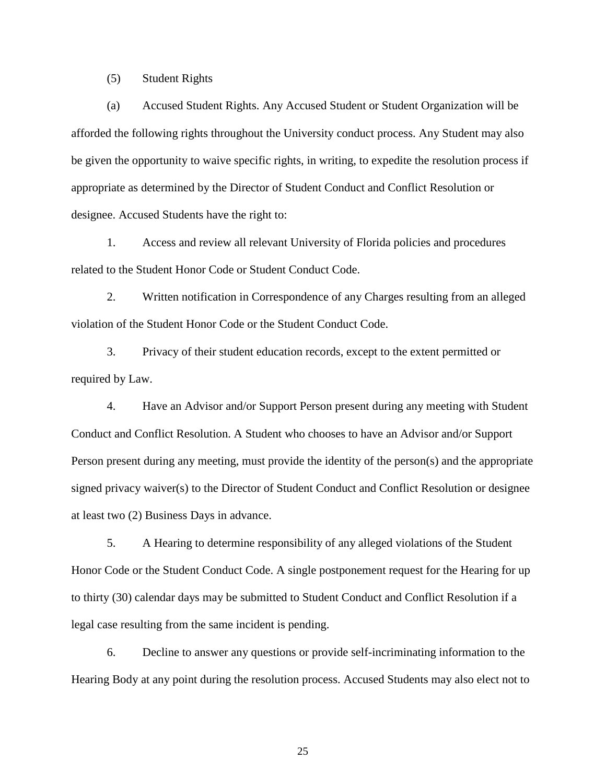(5) Student Rights

(a) Accused Student Rights. Any Accused Student or Student Organization will be afforded the following rights throughout the University conduct process. Any Student may also be given the opportunity to waive specific rights, in writing, to expedite the resolution process if appropriate as determined by the Director of Student Conduct and Conflict Resolution or designee. Accused Students have the right to:

1. Access and review all relevant University of Florida policies and procedures related to the Student Honor Code or Student Conduct Code.

2. Written notification in Correspondence of any Charges resulting from an alleged violation of the Student Honor Code or the Student Conduct Code.

3. Privacy of their student education records, except to the extent permitted or required by Law.

4. Have an Advisor and/or Support Person present during any meeting with Student Conduct and Conflict Resolution. A Student who chooses to have an Advisor and/or Support Person present during any meeting, must provide the identity of the person(s) and the appropriate signed privacy waiver(s) to the Director of Student Conduct and Conflict Resolution or designee at least two (2) Business Days in advance.

5. A Hearing to determine responsibility of any alleged violations of the Student Honor Code or the Student Conduct Code. A single postponement request for the Hearing for up to thirty (30) calendar days may be submitted to Student Conduct and Conflict Resolution if a legal case resulting from the same incident is pending.

6. Decline to answer any questions or provide self-incriminating information to the Hearing Body at any point during the resolution process. Accused Students may also elect not to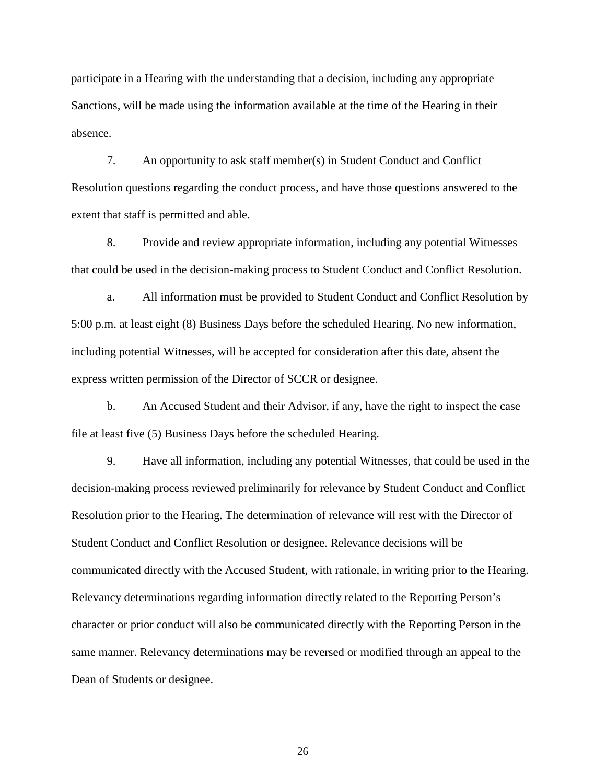participate in a Hearing with the understanding that a decision, including any appropriate Sanctions, will be made using the information available at the time of the Hearing in their absence.

7. An opportunity to ask staff member(s) in Student Conduct and Conflict Resolution questions regarding the conduct process, and have those questions answered to the extent that staff is permitted and able.

8. Provide and review appropriate information, including any potential Witnesses that could be used in the decision-making process to Student Conduct and Conflict Resolution.

a. All information must be provided to Student Conduct and Conflict Resolution by 5:00 p.m. at least eight (8) Business Days before the scheduled Hearing. No new information, including potential Witnesses, will be accepted for consideration after this date, absent the express written permission of the Director of SCCR or designee.

b. An Accused Student and their Advisor, if any, have the right to inspect the case file at least five (5) Business Days before the scheduled Hearing.

9. Have all information, including any potential Witnesses, that could be used in the decision-making process reviewed preliminarily for relevance by Student Conduct and Conflict Resolution prior to the Hearing. The determination of relevance will rest with the Director of Student Conduct and Conflict Resolution or designee. Relevance decisions will be communicated directly with the Accused Student, with rationale, in writing prior to the Hearing. Relevancy determinations regarding information directly related to the Reporting Person's character or prior conduct will also be communicated directly with the Reporting Person in the same manner. Relevancy determinations may be reversed or modified through an appeal to the Dean of Students or designee.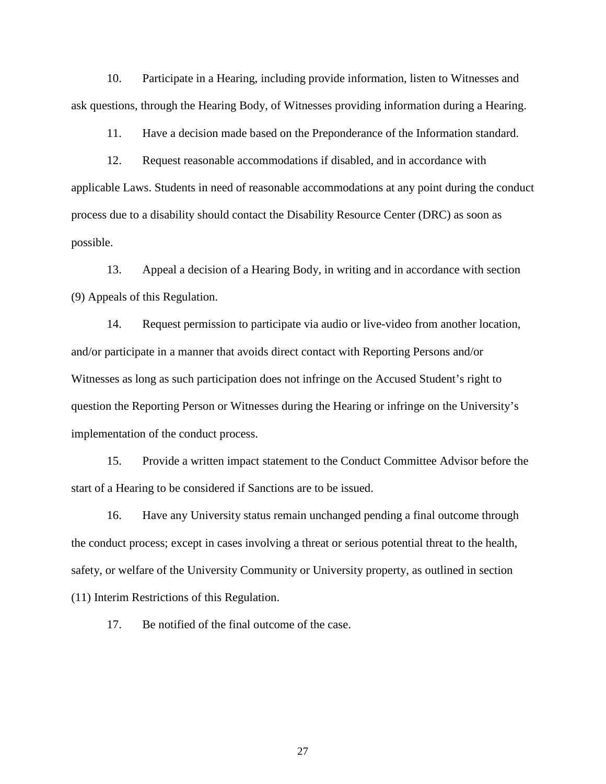10. Participate in a Hearing, including provide information, listen to Witnesses and ask questions, through the Hearing Body, of Witnesses providing information during a Hearing.

11. Have a decision made based on the Preponderance of the Information standard.

12. Request reasonable accommodations if disabled, and in accordance with applicable Laws. Students in need of reasonable accommodations at any point during the conduct process due to a disability should contact the Disability Resource Center (DRC) as soon as possible.

13. Appeal a decision of a Hearing Body, in writing and in accordance with section (9) Appeals of this Regulation.

14. Request permission to participate via audio or live-video from another location, and/or participate in a manner that avoids direct contact with Reporting Persons and/or Witnesses as long as such participation does not infringe on the Accused Student's right to question the Reporting Person or Witnesses during the Hearing or infringe on the University's implementation of the conduct process.

15. Provide a written impact statement to the Conduct Committee Advisor before the start of a Hearing to be considered if Sanctions are to be issued.

16. Have any University status remain unchanged pending a final outcome through the conduct process; except in cases involving a threat or serious potential threat to the health, safety, or welfare of the University Community or University property, as outlined in section (11) Interim Restrictions of this Regulation.

17. Be notified of the final outcome of the case.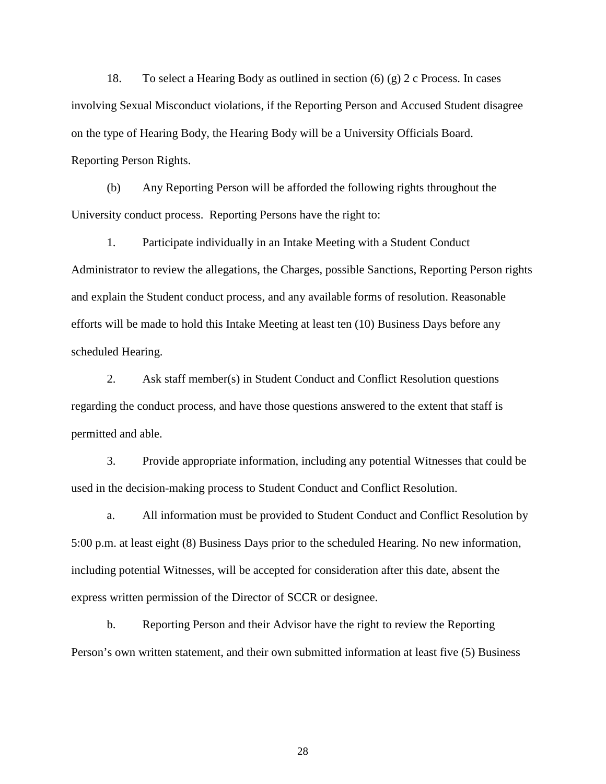18. To select a Hearing Body as outlined in section (6) (g) 2 c Process. In cases involving Sexual Misconduct violations, if the Reporting Person and Accused Student disagree on the type of Hearing Body, the Hearing Body will be a University Officials Board. Reporting Person Rights.

(b) Any Reporting Person will be afforded the following rights throughout the University conduct process. Reporting Persons have the right to:

1. Participate individually in an Intake Meeting with a Student Conduct Administrator to review the allegations, the Charges, possible Sanctions, Reporting Person rights and explain the Student conduct process, and any available forms of resolution. Reasonable efforts will be made to hold this Intake Meeting at least ten (10) Business Days before any scheduled Hearing.

2. Ask staff member(s) in Student Conduct and Conflict Resolution questions regarding the conduct process, and have those questions answered to the extent that staff is permitted and able.

3. Provide appropriate information, including any potential Witnesses that could be used in the decision-making process to Student Conduct and Conflict Resolution.

a. All information must be provided to Student Conduct and Conflict Resolution by 5:00 p.m. at least eight (8) Business Days prior to the scheduled Hearing. No new information, including potential Witnesses, will be accepted for consideration after this date, absent the express written permission of the Director of SCCR or designee.

b. Reporting Person and their Advisor have the right to review the Reporting Person's own written statement, and their own submitted information at least five (5) Business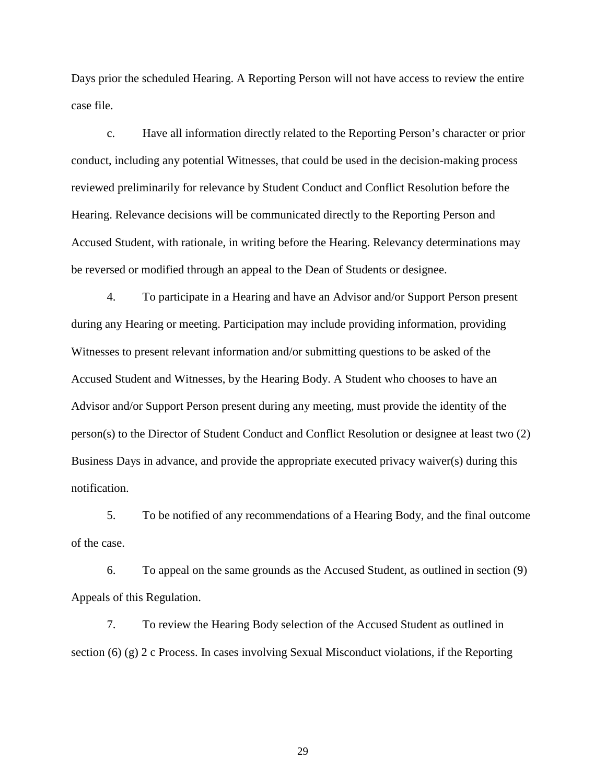Days prior the scheduled Hearing. A Reporting Person will not have access to review the entire case file.

c. Have all information directly related to the Reporting Person's character or prior conduct, including any potential Witnesses, that could be used in the decision-making process reviewed preliminarily for relevance by Student Conduct and Conflict Resolution before the Hearing. Relevance decisions will be communicated directly to the Reporting Person and Accused Student, with rationale, in writing before the Hearing. Relevancy determinations may be reversed or modified through an appeal to the Dean of Students or designee.

4. To participate in a Hearing and have an Advisor and/or Support Person present during any Hearing or meeting. Participation may include providing information, providing Witnesses to present relevant information and/or submitting questions to be asked of the Accused Student and Witnesses, by the Hearing Body. A Student who chooses to have an Advisor and/or Support Person present during any meeting, must provide the identity of the person(s) to the Director of Student Conduct and Conflict Resolution or designee at least two (2) Business Days in advance, and provide the appropriate executed privacy waiver(s) during this notification.

5. To be notified of any recommendations of a Hearing Body, and the final outcome of the case.

6. To appeal on the same grounds as the Accused Student, as outlined in section (9) Appeals of this Regulation.

7. To review the Hearing Body selection of the Accused Student as outlined in section (6) (g) 2 c Process. In cases involving Sexual Misconduct violations, if the Reporting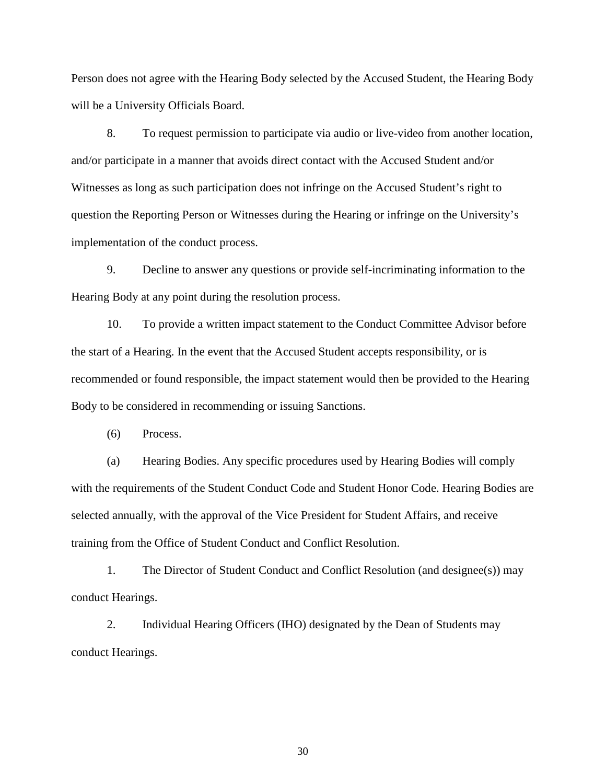Person does not agree with the Hearing Body selected by the Accused Student, the Hearing Body will be a University Officials Board.

8. To request permission to participate via audio or live-video from another location, and/or participate in a manner that avoids direct contact with the Accused Student and/or Witnesses as long as such participation does not infringe on the Accused Student's right to question the Reporting Person or Witnesses during the Hearing or infringe on the University's implementation of the conduct process.

9. Decline to answer any questions or provide self-incriminating information to the Hearing Body at any point during the resolution process.

10. To provide a written impact statement to the Conduct Committee Advisor before the start of a Hearing. In the event that the Accused Student accepts responsibility, or is recommended or found responsible, the impact statement would then be provided to the Hearing Body to be considered in recommending or issuing Sanctions.

(6) Process.

(a) Hearing Bodies. Any specific procedures used by Hearing Bodies will comply with the requirements of the Student Conduct Code and Student Honor Code. Hearing Bodies are selected annually, with the approval of the Vice President for Student Affairs, and receive training from the Office of Student Conduct and Conflict Resolution.

1. The Director of Student Conduct and Conflict Resolution (and designee(s)) may conduct Hearings.

2. Individual Hearing Officers (IHO) designated by the Dean of Students may conduct Hearings.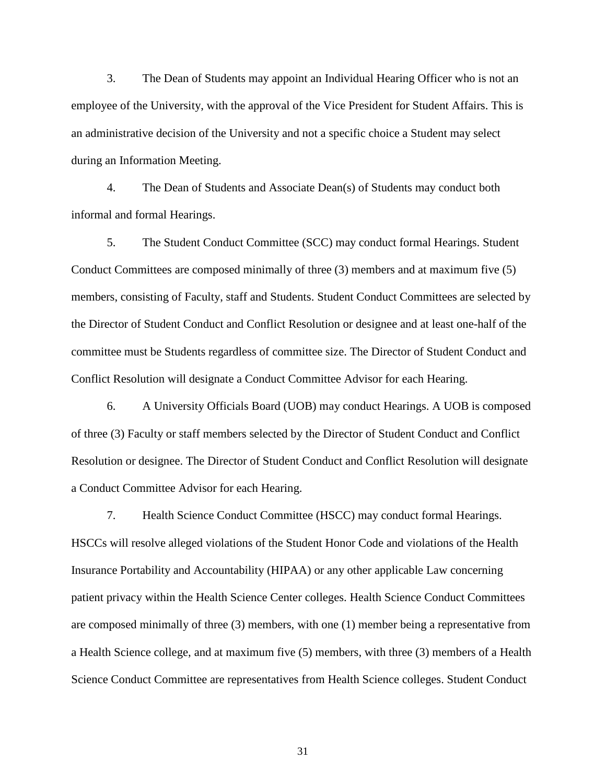3. The Dean of Students may appoint an Individual Hearing Officer who is not an employee of the University, with the approval of the Vice President for Student Affairs. This is an administrative decision of the University and not a specific choice a Student may select during an Information Meeting.

4. The Dean of Students and Associate Dean(s) of Students may conduct both informal and formal Hearings.

5. The Student Conduct Committee (SCC) may conduct formal Hearings. Student Conduct Committees are composed minimally of three (3) members and at maximum five (5) members, consisting of Faculty, staff and Students. Student Conduct Committees are selected by the Director of Student Conduct and Conflict Resolution or designee and at least one-half of the committee must be Students regardless of committee size. The Director of Student Conduct and Conflict Resolution will designate a Conduct Committee Advisor for each Hearing.

6. A University Officials Board (UOB) may conduct Hearings. A UOB is composed of three (3) Faculty or staff members selected by the Director of Student Conduct and Conflict Resolution or designee. The Director of Student Conduct and Conflict Resolution will designate a Conduct Committee Advisor for each Hearing.

7. Health Science Conduct Committee (HSCC) may conduct formal Hearings. HSCCs will resolve alleged violations of the Student Honor Code and violations of the Health Insurance Portability and Accountability (HIPAA) or any other applicable Law concerning patient privacy within the Health Science Center colleges. Health Science Conduct Committees are composed minimally of three (3) members, with one (1) member being a representative from a Health Science college, and at maximum five (5) members, with three (3) members of a Health Science Conduct Committee are representatives from Health Science colleges. Student Conduct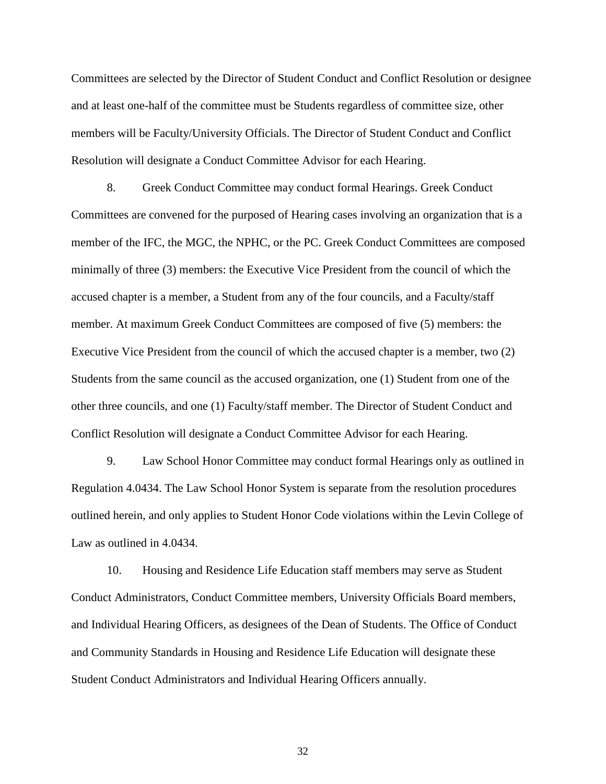Committees are selected by the Director of Student Conduct and Conflict Resolution or designee and at least one-half of the committee must be Students regardless of committee size, other members will be Faculty/University Officials. The Director of Student Conduct and Conflict Resolution will designate a Conduct Committee Advisor for each Hearing.

8. Greek Conduct Committee may conduct formal Hearings. Greek Conduct Committees are convened for the purposed of Hearing cases involving an organization that is a member of the IFC, the MGC, the NPHC, or the PC. Greek Conduct Committees are composed minimally of three (3) members: the Executive Vice President from the council of which the accused chapter is a member, a Student from any of the four councils, and a Faculty/staff member. At maximum Greek Conduct Committees are composed of five (5) members: the Executive Vice President from the council of which the accused chapter is a member, two (2) Students from the same council as the accused organization, one (1) Student from one of the other three councils, and one (1) Faculty/staff member. The Director of Student Conduct and Conflict Resolution will designate a Conduct Committee Advisor for each Hearing.

9. Law School Honor Committee may conduct formal Hearings only as outlined in Regulation 4.0434. The Law School Honor System is separate from the resolution procedures outlined herein, and only applies to Student Honor Code violations within the Levin College of Law as outlined in 4.0434.

10. Housing and Residence Life Education staff members may serve as Student Conduct Administrators, Conduct Committee members, University Officials Board members, and Individual Hearing Officers, as designees of the Dean of Students. The Office of Conduct and Community Standards in Housing and Residence Life Education will designate these Student Conduct Administrators and Individual Hearing Officers annually.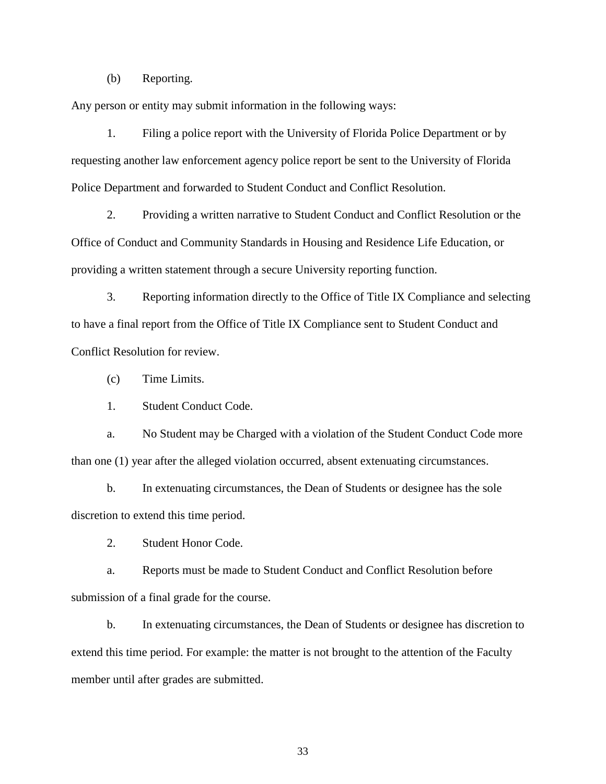(b) Reporting.

Any person or entity may submit information in the following ways:

1. Filing a police report with the University of Florida Police Department or by requesting another law enforcement agency police report be sent to the University of Florida Police Department and forwarded to Student Conduct and Conflict Resolution.

2. Providing a written narrative to Student Conduct and Conflict Resolution or the Office of Conduct and Community Standards in Housing and Residence Life Education, or providing a written statement through a secure University reporting function.

3. Reporting information directly to the Office of Title IX Compliance and selecting to have a final report from the Office of Title IX Compliance sent to Student Conduct and Conflict Resolution for review.

(c) Time Limits.

1. Student Conduct Code.

a. No Student may be Charged with a violation of the Student Conduct Code more than one (1) year after the alleged violation occurred, absent extenuating circumstances.

b. In extenuating circumstances, the Dean of Students or designee has the sole discretion to extend this time period.

2. Student Honor Code.

a. Reports must be made to Student Conduct and Conflict Resolution before submission of a final grade for the course.

b. In extenuating circumstances, the Dean of Students or designee has discretion to extend this time period. For example: the matter is not brought to the attention of the Faculty member until after grades are submitted.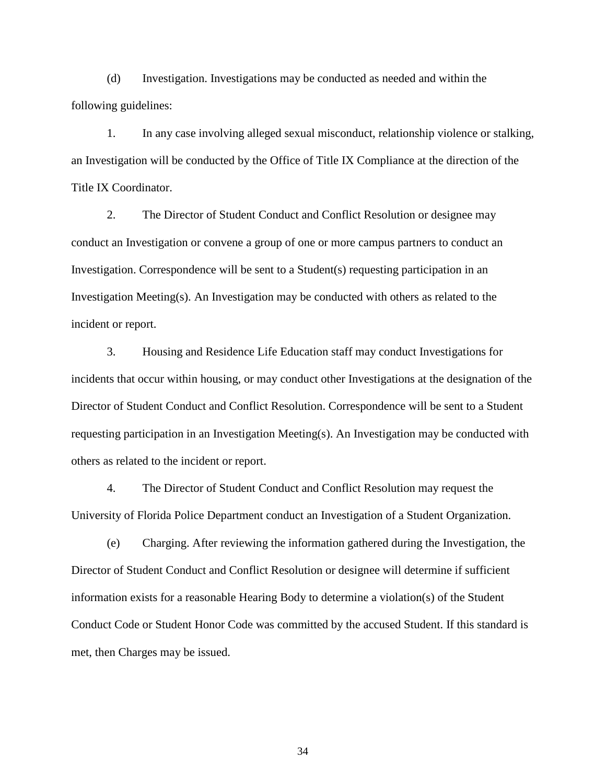(d) Investigation. Investigations may be conducted as needed and within the following guidelines:

1. In any case involving alleged sexual misconduct, relationship violence or stalking, an Investigation will be conducted by the Office of Title IX Compliance at the direction of the Title IX Coordinator.

2. The Director of Student Conduct and Conflict Resolution or designee may conduct an Investigation or convene a group of one or more campus partners to conduct an Investigation. Correspondence will be sent to a Student(s) requesting participation in an Investigation Meeting(s). An Investigation may be conducted with others as related to the incident or report.

3. Housing and Residence Life Education staff may conduct Investigations for incidents that occur within housing, or may conduct other Investigations at the designation of the Director of Student Conduct and Conflict Resolution. Correspondence will be sent to a Student requesting participation in an Investigation Meeting(s). An Investigation may be conducted with others as related to the incident or report.

4. The Director of Student Conduct and Conflict Resolution may request the University of Florida Police Department conduct an Investigation of a Student Organization.

(e) Charging. After reviewing the information gathered during the Investigation, the Director of Student Conduct and Conflict Resolution or designee will determine if sufficient information exists for a reasonable Hearing Body to determine a violation(s) of the Student Conduct Code or Student Honor Code was committed by the accused Student. If this standard is met, then Charges may be issued.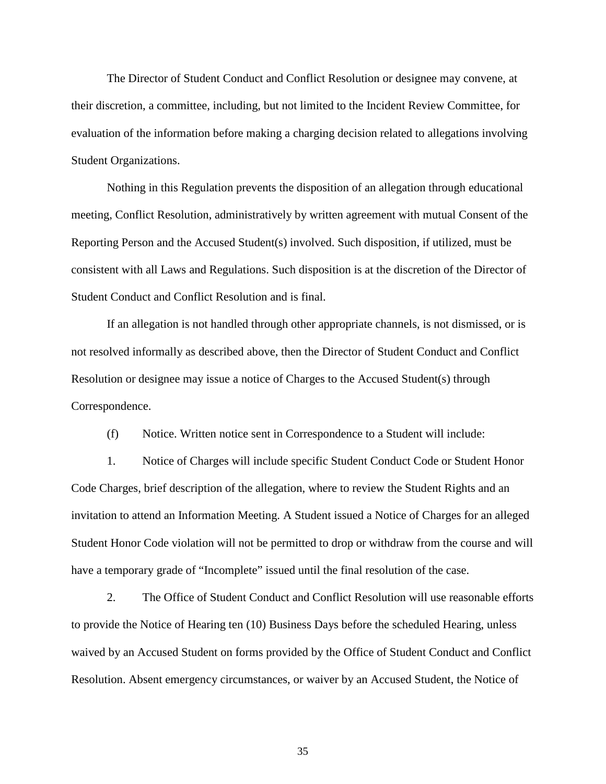The Director of Student Conduct and Conflict Resolution or designee may convene, at their discretion, a committee, including, but not limited to the Incident Review Committee, for evaluation of the information before making a charging decision related to allegations involving Student Organizations.

Nothing in this Regulation prevents the disposition of an allegation through educational meeting, Conflict Resolution, administratively by written agreement with mutual Consent of the Reporting Person and the Accused Student(s) involved. Such disposition, if utilized, must be consistent with all Laws and Regulations. Such disposition is at the discretion of the Director of Student Conduct and Conflict Resolution and is final.

If an allegation is not handled through other appropriate channels, is not dismissed, or is not resolved informally as described above, then the Director of Student Conduct and Conflict Resolution or designee may issue a notice of Charges to the Accused Student(s) through Correspondence.

(f) Notice. Written notice sent in Correspondence to a Student will include:

1. Notice of Charges will include specific Student Conduct Code or Student Honor Code Charges, brief description of the allegation, where to review the Student Rights and an invitation to attend an Information Meeting. A Student issued a Notice of Charges for an alleged Student Honor Code violation will not be permitted to drop or withdraw from the course and will have a temporary grade of "Incomplete" issued until the final resolution of the case.

2. The Office of Student Conduct and Conflict Resolution will use reasonable efforts to provide the Notice of Hearing ten (10) Business Days before the scheduled Hearing, unless waived by an Accused Student on forms provided by the Office of Student Conduct and Conflict Resolution. Absent emergency circumstances, or waiver by an Accused Student, the Notice of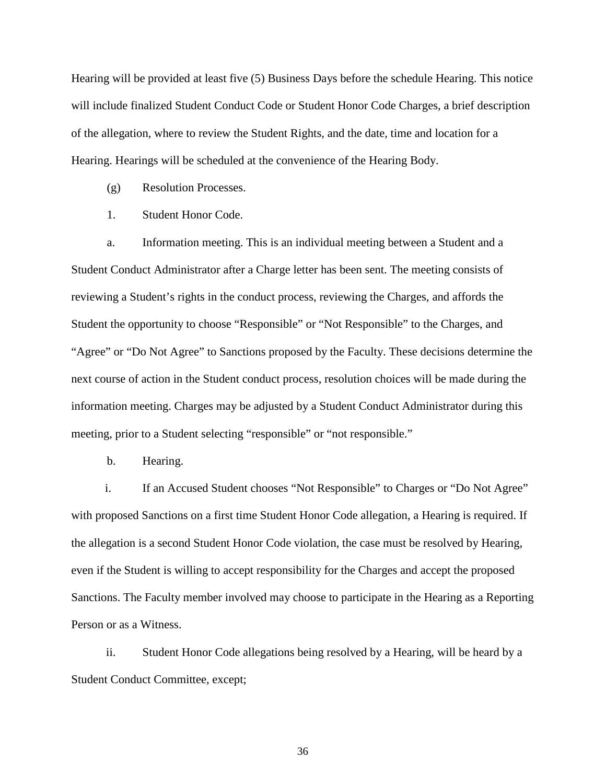Hearing will be provided at least five (5) Business Days before the schedule Hearing. This notice will include finalized Student Conduct Code or Student Honor Code Charges, a brief description of the allegation, where to review the Student Rights, and the date, time and location for a Hearing. Hearings will be scheduled at the convenience of the Hearing Body.

(g) Resolution Processes.

1. Student Honor Code.

a. Information meeting. This is an individual meeting between a Student and a Student Conduct Administrator after a Charge letter has been sent. The meeting consists of reviewing a Student's rights in the conduct process, reviewing the Charges, and affords the Student the opportunity to choose "Responsible" or "Not Responsible" to the Charges, and "Agree" or "Do Not Agree" to Sanctions proposed by the Faculty. These decisions determine the next course of action in the Student conduct process, resolution choices will be made during the information meeting. Charges may be adjusted by a Student Conduct Administrator during this meeting, prior to a Student selecting "responsible" or "not responsible."

b. Hearing.

i. If an Accused Student chooses "Not Responsible" to Charges or "Do Not Agree" with proposed Sanctions on a first time Student Honor Code allegation, a Hearing is required. If the allegation is a second Student Honor Code violation, the case must be resolved by Hearing, even if the Student is willing to accept responsibility for the Charges and accept the proposed Sanctions. The Faculty member involved may choose to participate in the Hearing as a Reporting Person or as a Witness.

ii. Student Honor Code allegations being resolved by a Hearing, will be heard by a Student Conduct Committee, except;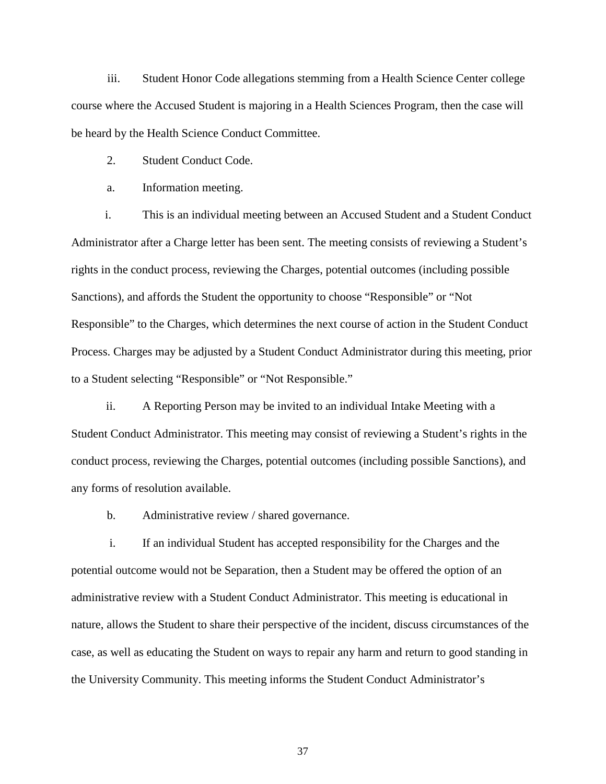iii. Student Honor Code allegations stemming from a Health Science Center college course where the Accused Student is majoring in a Health Sciences Program, then the case will be heard by the Health Science Conduct Committee.

2. Student Conduct Code.

a. Information meeting.

i. This is an individual meeting between an Accused Student and a Student Conduct Administrator after a Charge letter has been sent. The meeting consists of reviewing a Student's rights in the conduct process, reviewing the Charges, potential outcomes (including possible Sanctions), and affords the Student the opportunity to choose "Responsible" or "Not Responsible" to the Charges, which determines the next course of action in the Student Conduct Process. Charges may be adjusted by a Student Conduct Administrator during this meeting, prior to a Student selecting "Responsible" or "Not Responsible."

ii. A Reporting Person may be invited to an individual Intake Meeting with a Student Conduct Administrator. This meeting may consist of reviewing a Student's rights in the conduct process, reviewing the Charges, potential outcomes (including possible Sanctions), and any forms of resolution available.

b. Administrative review / shared governance.

i. If an individual Student has accepted responsibility for the Charges and the potential outcome would not be Separation, then a Student may be offered the option of an administrative review with a Student Conduct Administrator. This meeting is educational in nature, allows the Student to share their perspective of the incident, discuss circumstances of the case, as well as educating the Student on ways to repair any harm and return to good standing in the University Community. This meeting informs the Student Conduct Administrator's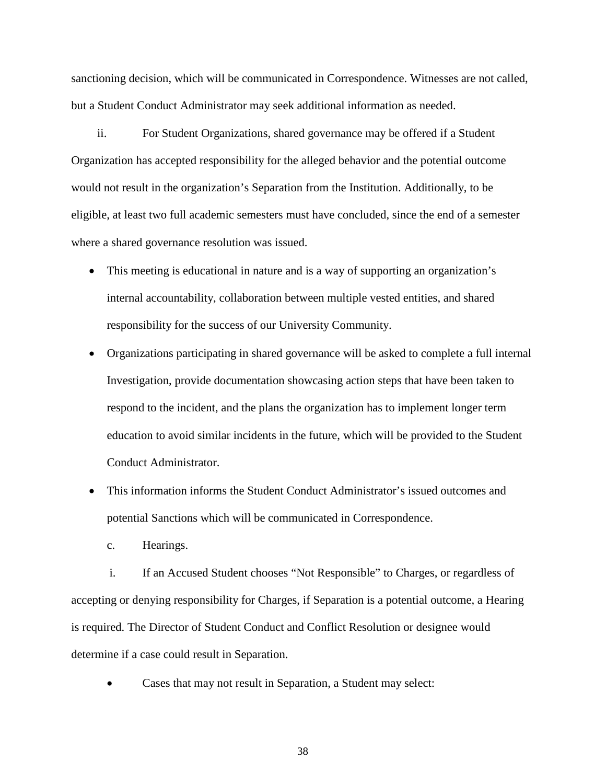sanctioning decision, which will be communicated in Correspondence. Witnesses are not called, but a Student Conduct Administrator may seek additional information as needed.

ii. For Student Organizations, shared governance may be offered if a Student Organization has accepted responsibility for the alleged behavior and the potential outcome would not result in the organization's Separation from the Institution. Additionally, to be eligible, at least two full academic semesters must have concluded, since the end of a semester where a shared governance resolution was issued.

- This meeting is educational in nature and is a way of supporting an organization's internal accountability, collaboration between multiple vested entities, and shared responsibility for the success of our University Community.
- Organizations participating in shared governance will be asked to complete a full internal Investigation, provide documentation showcasing action steps that have been taken to respond to the incident, and the plans the organization has to implement longer term education to avoid similar incidents in the future, which will be provided to the Student Conduct Administrator.
- This information informs the Student Conduct Administrator's issued outcomes and potential Sanctions which will be communicated in Correspondence.
	- c. Hearings.

i. If an Accused Student chooses "Not Responsible" to Charges, or regardless of accepting or denying responsibility for Charges, if Separation is a potential outcome, a Hearing is required. The Director of Student Conduct and Conflict Resolution or designee would determine if a case could result in Separation.

Cases that may not result in Separation, a Student may select: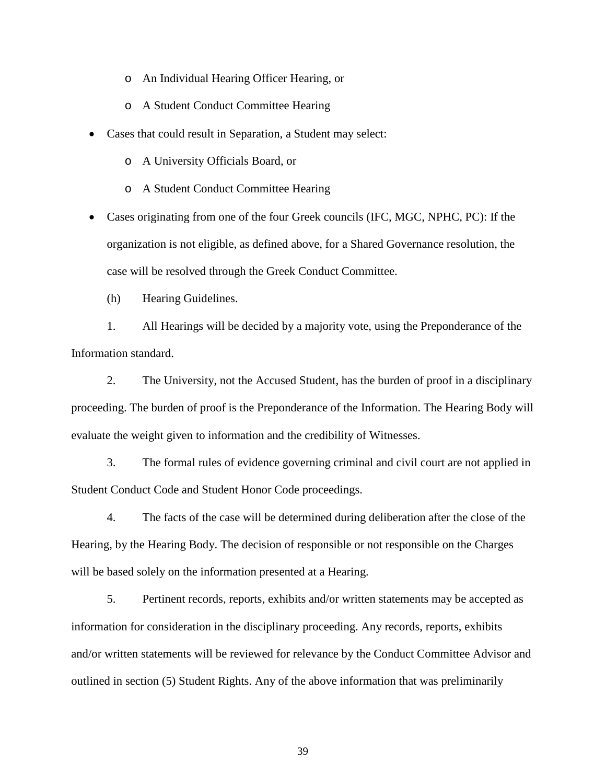- o An Individual Hearing Officer Hearing, or
- o A Student Conduct Committee Hearing
- Cases that could result in Separation, a Student may select:
	- o A University Officials Board, or
	- o A Student Conduct Committee Hearing

• Cases originating from one of the four Greek councils (IFC, MGC, NPHC, PC): If the organization is not eligible, as defined above, for a Shared Governance resolution, the case will be resolved through the Greek Conduct Committee.

(h) Hearing Guidelines.

1. All Hearings will be decided by a majority vote, using the Preponderance of the Information standard.

2. The University, not the Accused Student, has the burden of proof in a disciplinary proceeding. The burden of proof is the Preponderance of the Information. The Hearing Body will evaluate the weight given to information and the credibility of Witnesses.

3. The formal rules of evidence governing criminal and civil court are not applied in Student Conduct Code and Student Honor Code proceedings.

4. The facts of the case will be determined during deliberation after the close of the Hearing, by the Hearing Body. The decision of responsible or not responsible on the Charges will be based solely on the information presented at a Hearing.

5. Pertinent records, reports, exhibits and/or written statements may be accepted as information for consideration in the disciplinary proceeding. Any records, reports, exhibits and/or written statements will be reviewed for relevance by the Conduct Committee Advisor and outlined in section (5) Student Rights. Any of the above information that was preliminarily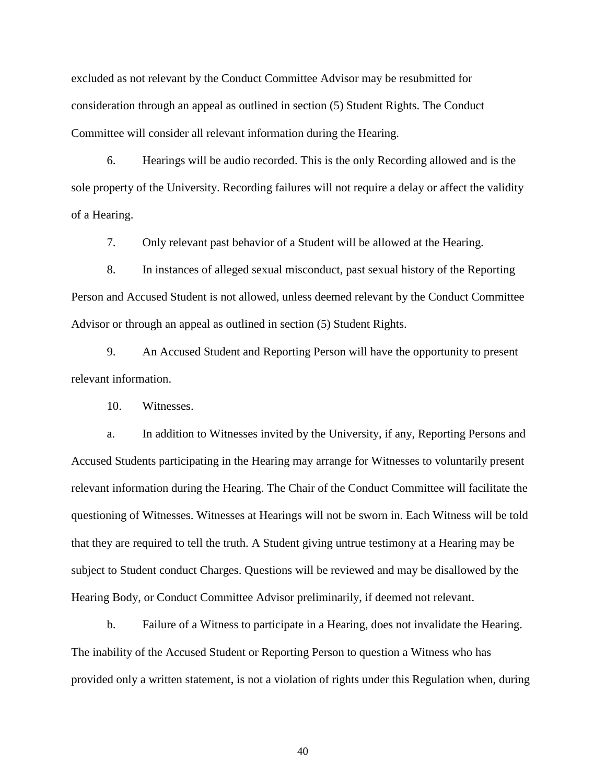excluded as not relevant by the Conduct Committee Advisor may be resubmitted for consideration through an appeal as outlined in section (5) Student Rights. The Conduct Committee will consider all relevant information during the Hearing.

6. Hearings will be audio recorded. This is the only Recording allowed and is the sole property of the University. Recording failures will not require a delay or affect the validity of a Hearing.

7. Only relevant past behavior of a Student will be allowed at the Hearing.

8. In instances of alleged sexual misconduct, past sexual history of the Reporting Person and Accused Student is not allowed, unless deemed relevant by the Conduct Committee Advisor or through an appeal as outlined in section (5) Student Rights.

9. An Accused Student and Reporting Person will have the opportunity to present relevant information.

10. Witnesses.

a. In addition to Witnesses invited by the University, if any, Reporting Persons and Accused Students participating in the Hearing may arrange for Witnesses to voluntarily present relevant information during the Hearing. The Chair of the Conduct Committee will facilitate the questioning of Witnesses. Witnesses at Hearings will not be sworn in. Each Witness will be told that they are required to tell the truth. A Student giving untrue testimony at a Hearing may be subject to Student conduct Charges. Questions will be reviewed and may be disallowed by the Hearing Body, or Conduct Committee Advisor preliminarily, if deemed not relevant.

b. Failure of a Witness to participate in a Hearing, does not invalidate the Hearing. The inability of the Accused Student or Reporting Person to question a Witness who has provided only a written statement, is not a violation of rights under this Regulation when, during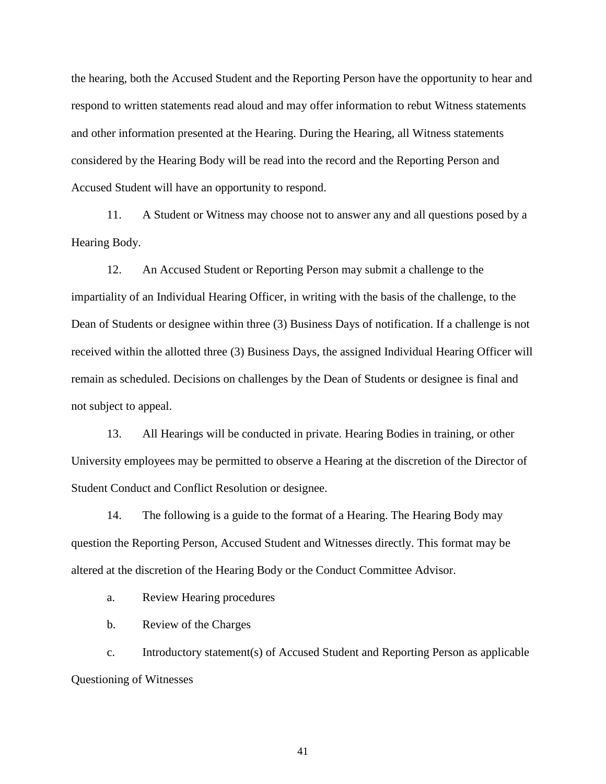the hearing, both the Accused Student and the Reporting Person have the opportunity to hear and respond to written statements read aloud and may offer information to rebut Witness statements and other information presented at the Hearing. During the Hearing, all Witness statements considered by the Hearing Body will be read into the record and the Reporting Person and Accused Student will have an opportunity to respond.

11. A Student or Witness may choose not to answer any and all questions posed by a Hearing Body.

12. An Accused Student or Reporting Person may submit a challenge to the impartiality of an Individual Hearing Officer, in writing with the basis of the challenge, to the Dean of Students or designee within three (3) Business Days of notification. If a challenge is not received within the allotted three (3) Business Days, the assigned Individual Hearing Officer will remain as scheduled. Decisions on challenges by the Dean of Students or designee is final and not subject to appeal.

13. All Hearings will be conducted in private. Hearing Bodies in training, or other University employees may be permitted to observe a Hearing at the discretion of the Director of Student Conduct and Conflict Resolution or designee.

14. The following is a guide to the format of a Hearing. The Hearing Body may question the Reporting Person, Accused Student and Witnesses directly. This format may be altered at the discretion of the Hearing Body or the Conduct Committee Advisor.

a. Review Hearing procedures

b. Review of the Charges

c. Introductory statement(s) of Accused Student and Reporting Person as applicable Questioning of Witnesses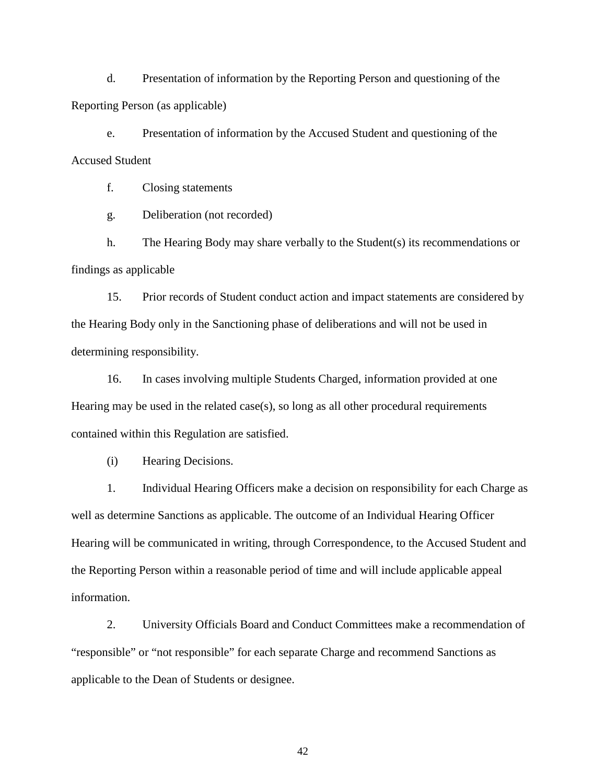d. Presentation of information by the Reporting Person and questioning of the Reporting Person (as applicable)

e. Presentation of information by the Accused Student and questioning of the Accused Student

f. Closing statements

g. Deliberation (not recorded)

h. The Hearing Body may share verbally to the Student(s) its recommendations or findings as applicable

15. Prior records of Student conduct action and impact statements are considered by the Hearing Body only in the Sanctioning phase of deliberations and will not be used in determining responsibility.

16. In cases involving multiple Students Charged, information provided at one Hearing may be used in the related case(s), so long as all other procedural requirements contained within this Regulation are satisfied.

(i) Hearing Decisions.

1. Individual Hearing Officers make a decision on responsibility for each Charge as well as determine Sanctions as applicable. The outcome of an Individual Hearing Officer Hearing will be communicated in writing, through Correspondence, to the Accused Student and the Reporting Person within a reasonable period of time and will include applicable appeal information.

2. University Officials Board and Conduct Committees make a recommendation of "responsible" or "not responsible" for each separate Charge and recommend Sanctions as applicable to the Dean of Students or designee.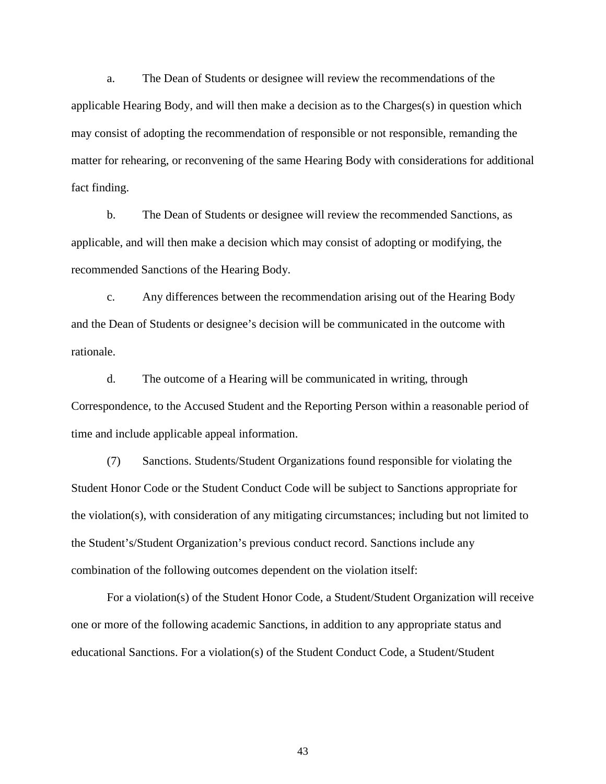a. The Dean of Students or designee will review the recommendations of the applicable Hearing Body, and will then make a decision as to the Charges(s) in question which may consist of adopting the recommendation of responsible or not responsible, remanding the matter for rehearing, or reconvening of the same Hearing Body with considerations for additional fact finding.

b. The Dean of Students or designee will review the recommended Sanctions, as applicable, and will then make a decision which may consist of adopting or modifying, the recommended Sanctions of the Hearing Body.

c. Any differences between the recommendation arising out of the Hearing Body and the Dean of Students or designee's decision will be communicated in the outcome with rationale.

d. The outcome of a Hearing will be communicated in writing, through Correspondence, to the Accused Student and the Reporting Person within a reasonable period of time and include applicable appeal information.

(7) Sanctions. Students/Student Organizations found responsible for violating the Student Honor Code or the Student Conduct Code will be subject to Sanctions appropriate for the violation(s), with consideration of any mitigating circumstances; including but not limited to the Student's/Student Organization's previous conduct record. Sanctions include any combination of the following outcomes dependent on the violation itself:

For a violation(s) of the Student Honor Code, a Student/Student Organization will receive one or more of the following academic Sanctions, in addition to any appropriate status and educational Sanctions. For a violation(s) of the Student Conduct Code, a Student/Student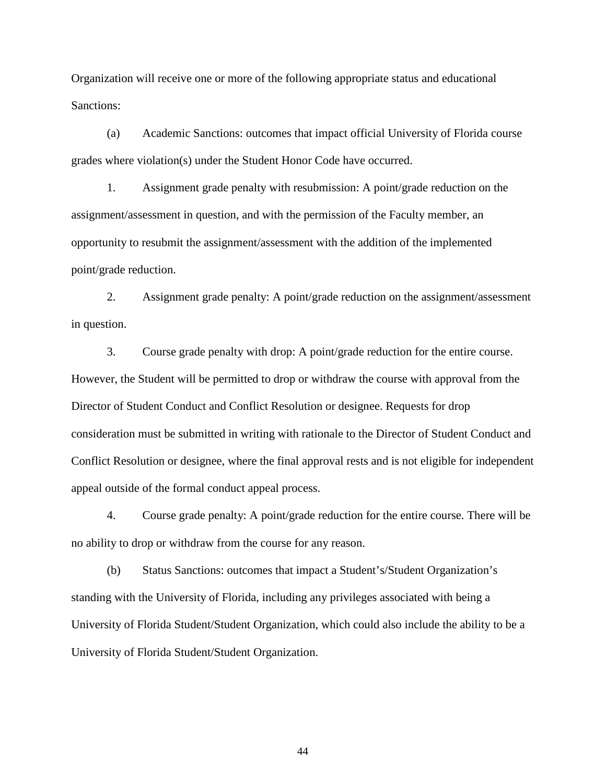Organization will receive one or more of the following appropriate status and educational Sanctions:

(a) Academic Sanctions: outcomes that impact official University of Florida course grades where violation(s) under the Student Honor Code have occurred.

1. Assignment grade penalty with resubmission: A point/grade reduction on the assignment/assessment in question, and with the permission of the Faculty member, an opportunity to resubmit the assignment/assessment with the addition of the implemented point/grade reduction.

2. Assignment grade penalty: A point/grade reduction on the assignment/assessment in question.

3. Course grade penalty with drop: A point/grade reduction for the entire course. However, the Student will be permitted to drop or withdraw the course with approval from the Director of Student Conduct and Conflict Resolution or designee. Requests for drop consideration must be submitted in writing with rationale to the Director of Student Conduct and Conflict Resolution or designee, where the final approval rests and is not eligible for independent appeal outside of the formal conduct appeal process.

4. Course grade penalty: A point/grade reduction for the entire course. There will be no ability to drop or withdraw from the course for any reason.

(b) Status Sanctions: outcomes that impact a Student's/Student Organization's standing with the University of Florida, including any privileges associated with being a University of Florida Student/Student Organization, which could also include the ability to be a University of Florida Student/Student Organization.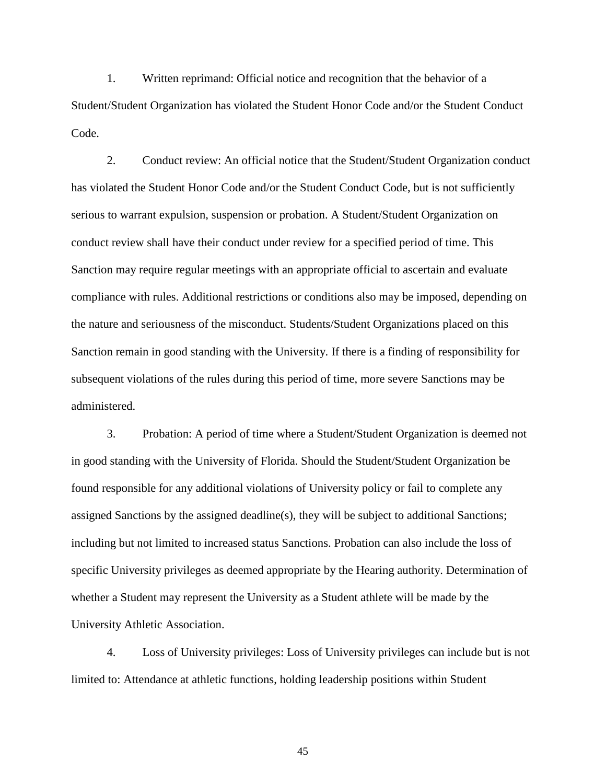1. Written reprimand: Official notice and recognition that the behavior of a Student/Student Organization has violated the Student Honor Code and/or the Student Conduct Code.

2. Conduct review: An official notice that the Student/Student Organization conduct has violated the Student Honor Code and/or the Student Conduct Code, but is not sufficiently serious to warrant expulsion, suspension or probation. A Student/Student Organization on conduct review shall have their conduct under review for a specified period of time. This Sanction may require regular meetings with an appropriate official to ascertain and evaluate compliance with rules. Additional restrictions or conditions also may be imposed, depending on the nature and seriousness of the misconduct. Students/Student Organizations placed on this Sanction remain in good standing with the University. If there is a finding of responsibility for subsequent violations of the rules during this period of time, more severe Sanctions may be administered.

3. Probation: A period of time where a Student/Student Organization is deemed not in good standing with the University of Florida. Should the Student/Student Organization be found responsible for any additional violations of University policy or fail to complete any assigned Sanctions by the assigned deadline(s), they will be subject to additional Sanctions; including but not limited to increased status Sanctions. Probation can also include the loss of specific University privileges as deemed appropriate by the Hearing authority. Determination of whether a Student may represent the University as a Student athlete will be made by the University Athletic Association.

4. Loss of University privileges: Loss of University privileges can include but is not limited to: Attendance at athletic functions, holding leadership positions within Student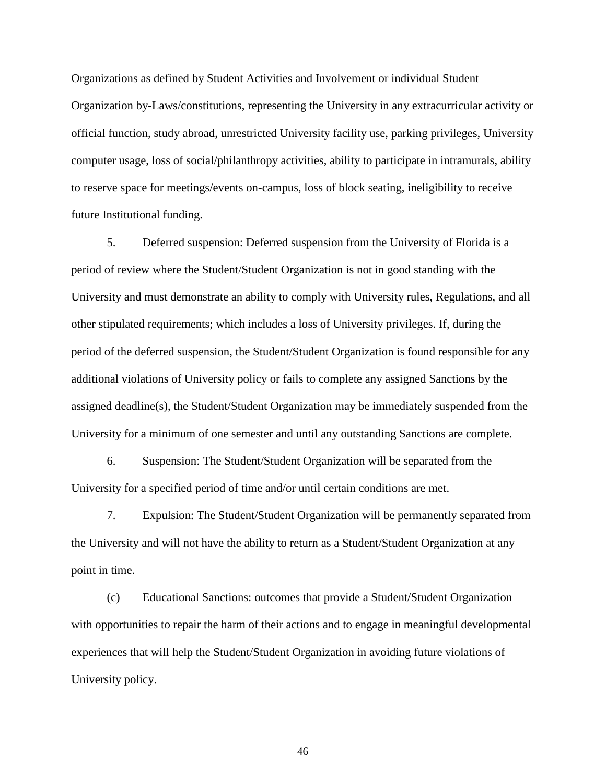Organizations as defined by Student Activities and Involvement or individual Student Organization by-Laws/constitutions, representing the University in any extracurricular activity or official function, study abroad, unrestricted University facility use, parking privileges, University computer usage, loss of social/philanthropy activities, ability to participate in intramurals, ability to reserve space for meetings/events on-campus, loss of block seating, ineligibility to receive future Institutional funding.

5. Deferred suspension: Deferred suspension from the University of Florida is a period of review where the Student/Student Organization is not in good standing with the University and must demonstrate an ability to comply with University rules, Regulations, and all other stipulated requirements; which includes a loss of University privileges. If, during the period of the deferred suspension, the Student/Student Organization is found responsible for any additional violations of University policy or fails to complete any assigned Sanctions by the assigned deadline(s), the Student/Student Organization may be immediately suspended from the University for a minimum of one semester and until any outstanding Sanctions are complete.

6. Suspension: The Student/Student Organization will be separated from the University for a specified period of time and/or until certain conditions are met.

7. Expulsion: The Student/Student Organization will be permanently separated from the University and will not have the ability to return as a Student/Student Organization at any point in time.

(c) Educational Sanctions: outcomes that provide a Student/Student Organization with opportunities to repair the harm of their actions and to engage in meaningful developmental experiences that will help the Student/Student Organization in avoiding future violations of University policy.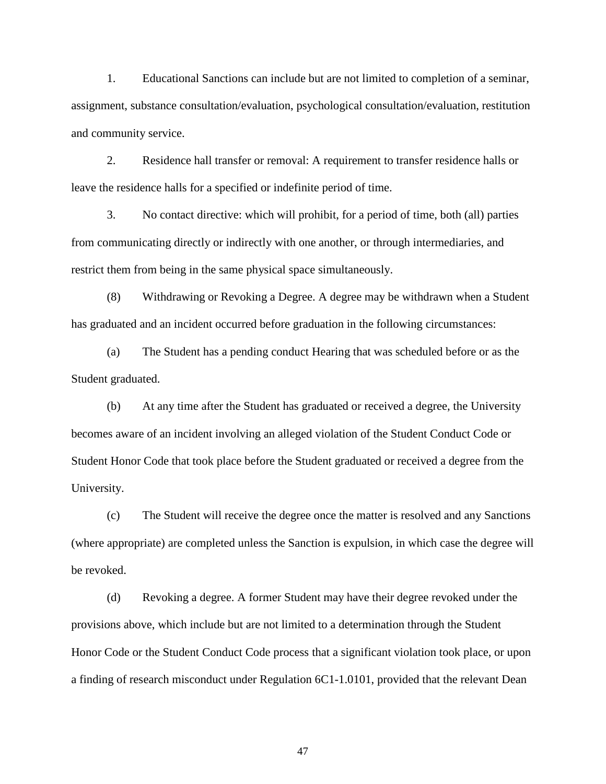1. Educational Sanctions can include but are not limited to completion of a seminar, assignment, substance consultation/evaluation, psychological consultation/evaluation, restitution and community service.

2. Residence hall transfer or removal: A requirement to transfer residence halls or leave the residence halls for a specified or indefinite period of time.

3. No contact directive: which will prohibit, for a period of time, both (all) parties from communicating directly or indirectly with one another, or through intermediaries, and restrict them from being in the same physical space simultaneously.

(8) Withdrawing or Revoking a Degree. A degree may be withdrawn when a Student has graduated and an incident occurred before graduation in the following circumstances:

(a) The Student has a pending conduct Hearing that was scheduled before or as the Student graduated.

(b) At any time after the Student has graduated or received a degree, the University becomes aware of an incident involving an alleged violation of the Student Conduct Code or Student Honor Code that took place before the Student graduated or received a degree from the University.

(c) The Student will receive the degree once the matter is resolved and any Sanctions (where appropriate) are completed unless the Sanction is expulsion, in which case the degree will be revoked.

(d) Revoking a degree. A former Student may have their degree revoked under the provisions above, which include but are not limited to a determination through the Student Honor Code or the Student Conduct Code process that a significant violation took place, or upon a finding of research misconduct under Regulation 6C1-1.0101, provided that the relevant Dean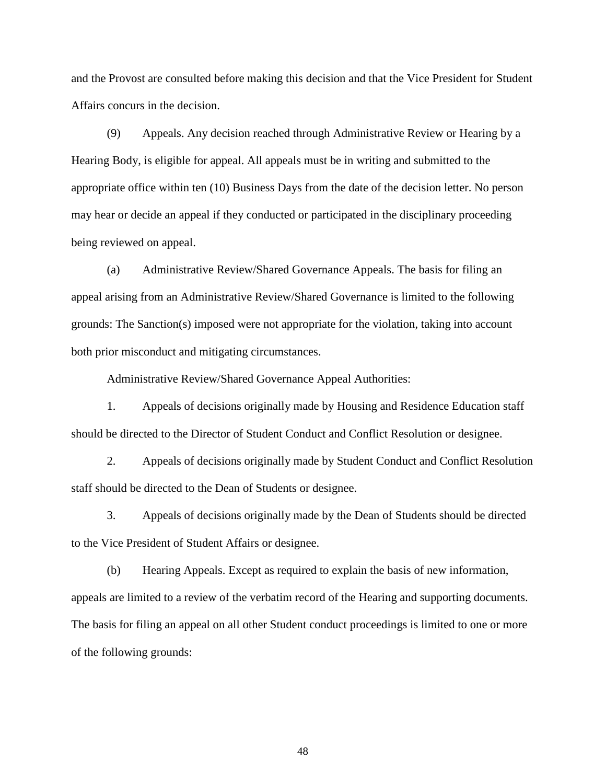and the Provost are consulted before making this decision and that the Vice President for Student Affairs concurs in the decision.

(9) Appeals. Any decision reached through Administrative Review or Hearing by a Hearing Body, is eligible for appeal. All appeals must be in writing and submitted to the appropriate office within ten (10) Business Days from the date of the decision letter. No person may hear or decide an appeal if they conducted or participated in the disciplinary proceeding being reviewed on appeal.

(a) Administrative Review/Shared Governance Appeals. The basis for filing an appeal arising from an Administrative Review/Shared Governance is limited to the following grounds: The Sanction(s) imposed were not appropriate for the violation, taking into account both prior misconduct and mitigating circumstances.

Administrative Review/Shared Governance Appeal Authorities:

1. Appeals of decisions originally made by Housing and Residence Education staff should be directed to the Director of Student Conduct and Conflict Resolution or designee.

2. Appeals of decisions originally made by Student Conduct and Conflict Resolution staff should be directed to the Dean of Students or designee.

3. Appeals of decisions originally made by the Dean of Students should be directed to the Vice President of Student Affairs or designee.

(b) Hearing Appeals. Except as required to explain the basis of new information, appeals are limited to a review of the verbatim record of the Hearing and supporting documents. The basis for filing an appeal on all other Student conduct proceedings is limited to one or more of the following grounds: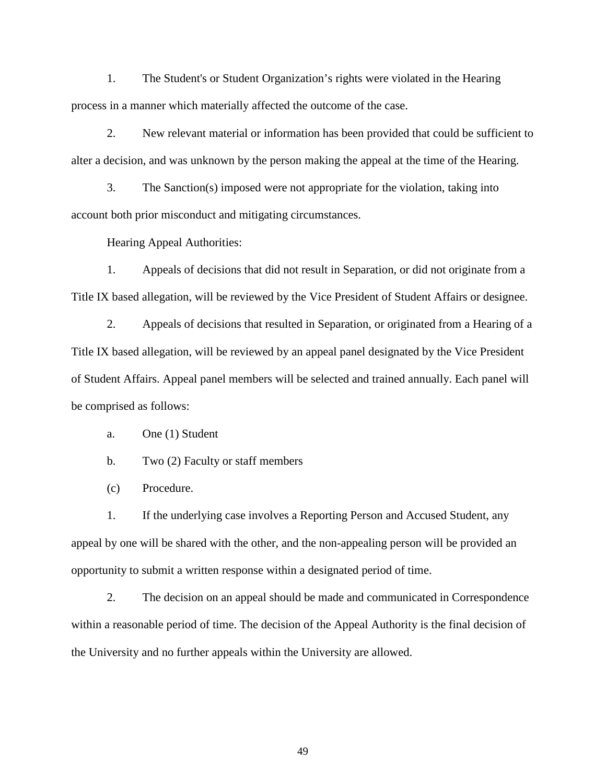1. The Student's or Student Organization's rights were violated in the Hearing process in a manner which materially affected the outcome of the case.

2. New relevant material or information has been provided that could be sufficient to alter a decision, and was unknown by the person making the appeal at the time of the Hearing.

3. The Sanction(s) imposed were not appropriate for the violation, taking into account both prior misconduct and mitigating circumstances.

Hearing Appeal Authorities:

1. Appeals of decisions that did not result in Separation, or did not originate from a Title IX based allegation, will be reviewed by the Vice President of Student Affairs or designee.

2. Appeals of decisions that resulted in Separation, or originated from a Hearing of a Title IX based allegation, will be reviewed by an appeal panel designated by the Vice President of Student Affairs. Appeal panel members will be selected and trained annually. Each panel will be comprised as follows:

a. One (1) Student

b. Two (2) Faculty or staff members

(c) Procedure.

1. If the underlying case involves a Reporting Person and Accused Student, any appeal by one will be shared with the other, and the non-appealing person will be provided an opportunity to submit a written response within a designated period of time.

2. The decision on an appeal should be made and communicated in Correspondence within a reasonable period of time. The decision of the Appeal Authority is the final decision of the University and no further appeals within the University are allowed.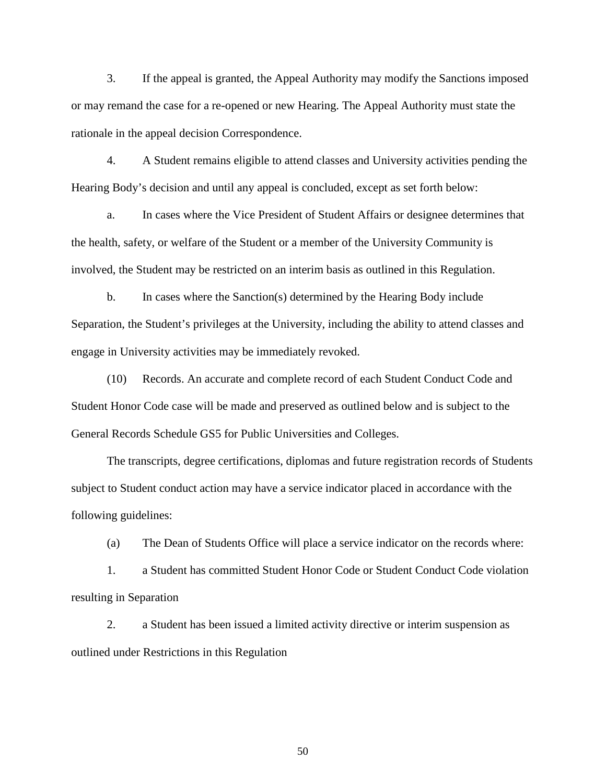3. If the appeal is granted, the Appeal Authority may modify the Sanctions imposed or may remand the case for a re-opened or new Hearing. The Appeal Authority must state the rationale in the appeal decision Correspondence.

4. A Student remains eligible to attend classes and University activities pending the Hearing Body's decision and until any appeal is concluded, except as set forth below:

a. In cases where the Vice President of Student Affairs or designee determines that the health, safety, or welfare of the Student or a member of the University Community is involved, the Student may be restricted on an interim basis as outlined in this Regulation.

b. In cases where the Sanction(s) determined by the Hearing Body include Separation, the Student's privileges at the University, including the ability to attend classes and engage in University activities may be immediately revoked.

(10) Records. An accurate and complete record of each Student Conduct Code and Student Honor Code case will be made and preserved as outlined below and is subject to the General Records Schedule GS5 for Public Universities and Colleges.

The transcripts, degree certifications, diplomas and future registration records of Students subject to Student conduct action may have a service indicator placed in accordance with the following guidelines:

(a) The Dean of Students Office will place a service indicator on the records where:

1. a Student has committed Student Honor Code or Student Conduct Code violation resulting in Separation

2. a Student has been issued a limited activity directive or interim suspension as outlined under Restrictions in this Regulation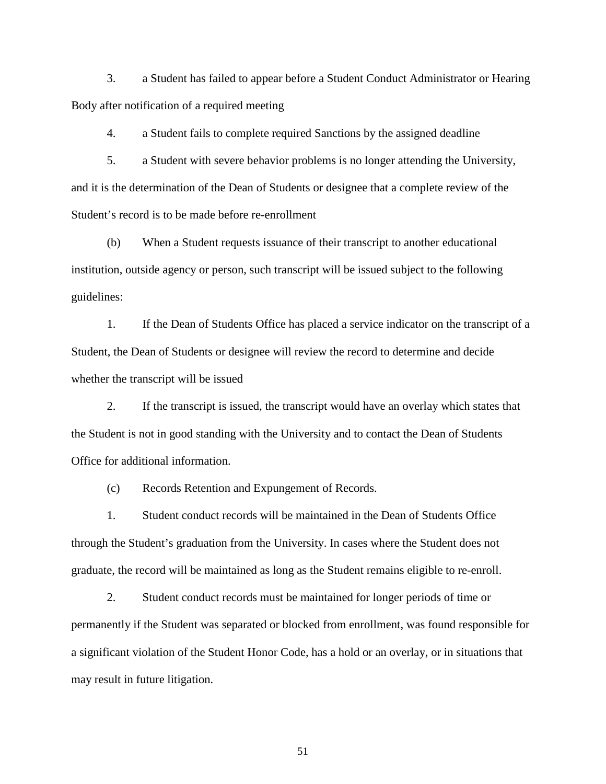3. a Student has failed to appear before a Student Conduct Administrator or Hearing Body after notification of a required meeting

4. a Student fails to complete required Sanctions by the assigned deadline

5. a Student with severe behavior problems is no longer attending the University, and it is the determination of the Dean of Students or designee that a complete review of the Student's record is to be made before re-enrollment

(b) When a Student requests issuance of their transcript to another educational institution, outside agency or person, such transcript will be issued subject to the following guidelines:

1. If the Dean of Students Office has placed a service indicator on the transcript of a Student, the Dean of Students or designee will review the record to determine and decide whether the transcript will be issued

2. If the transcript is issued, the transcript would have an overlay which states that the Student is not in good standing with the University and to contact the Dean of Students Office for additional information.

(c) Records Retention and Expungement of Records.

1. Student conduct records will be maintained in the Dean of Students Office through the Student's graduation from the University. In cases where the Student does not graduate, the record will be maintained as long as the Student remains eligible to re-enroll.

2. Student conduct records must be maintained for longer periods of time or permanently if the Student was separated or blocked from enrollment, was found responsible for a significant violation of the Student Honor Code, has a hold or an overlay, or in situations that may result in future litigation.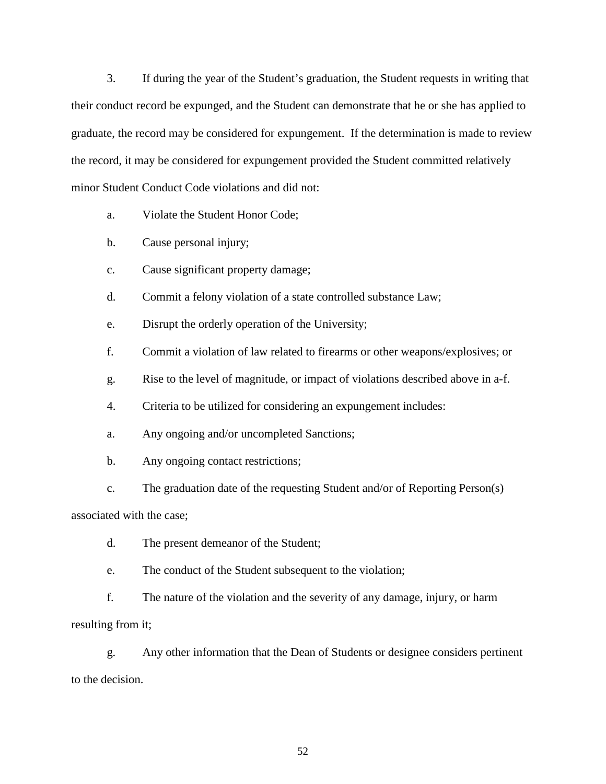3. If during the year of the Student's graduation, the Student requests in writing that their conduct record be expunged, and the Student can demonstrate that he or she has applied to graduate, the record may be considered for expungement. If the determination is made to review the record, it may be considered for expungement provided the Student committed relatively minor Student Conduct Code violations and did not:

- a. Violate the Student Honor Code;
- b. Cause personal injury;
- c. Cause significant property damage;
- d. Commit a felony violation of a state controlled substance Law;
- e. Disrupt the orderly operation of the University;
- f. Commit a violation of law related to firearms or other weapons/explosives; or
- g. Rise to the level of magnitude, or impact of violations described above in a-f.
- 4. Criteria to be utilized for considering an expungement includes:
- a. Any ongoing and/or uncompleted Sanctions;
- b. Any ongoing contact restrictions;
- c. The graduation date of the requesting Student and/or of Reporting Person(s)

associated with the case;

- d. The present demeanor of the Student;
- e. The conduct of the Student subsequent to the violation;

f. The nature of the violation and the severity of any damage, injury, or harm resulting from it;

g. Any other information that the Dean of Students or designee considers pertinent to the decision.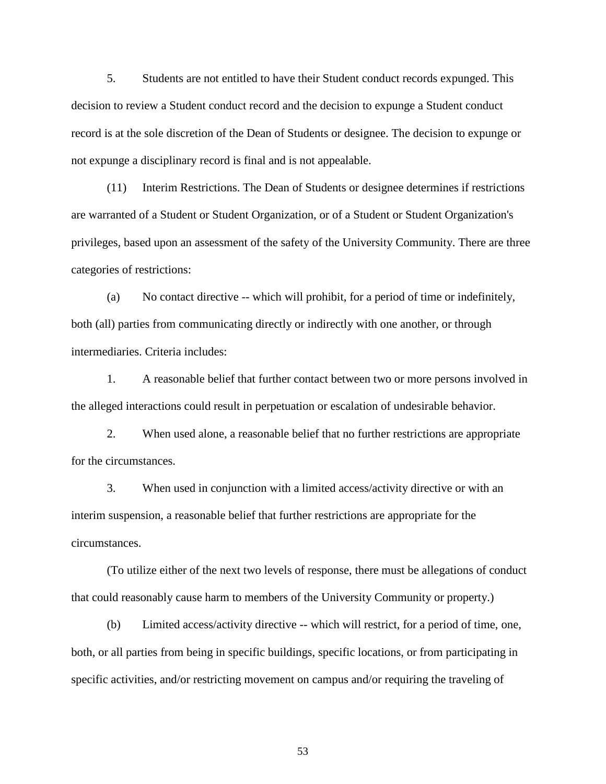5. Students are not entitled to have their Student conduct records expunged. This decision to review a Student conduct record and the decision to expunge a Student conduct record is at the sole discretion of the Dean of Students or designee. The decision to expunge or not expunge a disciplinary record is final and is not appealable.

(11) Interim Restrictions. The Dean of Students or designee determines if restrictions are warranted of a Student or Student Organization, or of a Student or Student Organization's privileges, based upon an assessment of the safety of the University Community. There are three categories of restrictions:

(a) No contact directive -- which will prohibit, for a period of time or indefinitely, both (all) parties from communicating directly or indirectly with one another, or through intermediaries. Criteria includes:

1. A reasonable belief that further contact between two or more persons involved in the alleged interactions could result in perpetuation or escalation of undesirable behavior.

2. When used alone, a reasonable belief that no further restrictions are appropriate for the circumstances.

3. When used in conjunction with a limited access/activity directive or with an interim suspension, a reasonable belief that further restrictions are appropriate for the circumstances.

(To utilize either of the next two levels of response, there must be allegations of conduct that could reasonably cause harm to members of the University Community or property.)

(b) Limited access/activity directive -- which will restrict, for a period of time, one, both, or all parties from being in specific buildings, specific locations, or from participating in specific activities, and/or restricting movement on campus and/or requiring the traveling of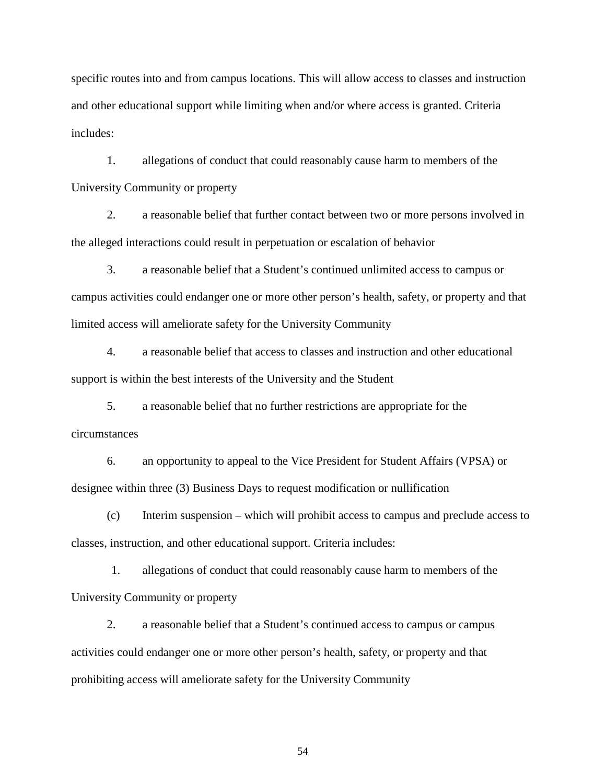specific routes into and from campus locations. This will allow access to classes and instruction and other educational support while limiting when and/or where access is granted. Criteria includes:

1. allegations of conduct that could reasonably cause harm to members of the University Community or property

2. a reasonable belief that further contact between two or more persons involved in the alleged interactions could result in perpetuation or escalation of behavior

3. a reasonable belief that a Student's continued unlimited access to campus or campus activities could endanger one or more other person's health, safety, or property and that limited access will ameliorate safety for the University Community

4. a reasonable belief that access to classes and instruction and other educational support is within the best interests of the University and the Student

5. a reasonable belief that no further restrictions are appropriate for the circumstances

6. an opportunity to appeal to the Vice President for Student Affairs (VPSA) or designee within three (3) Business Days to request modification or nullification

(c) Interim suspension – which will prohibit access to campus and preclude access to classes, instruction, and other educational support. Criteria includes:

1. allegations of conduct that could reasonably cause harm to members of the University Community or property

2. a reasonable belief that a Student's continued access to campus or campus activities could endanger one or more other person's health, safety, or property and that prohibiting access will ameliorate safety for the University Community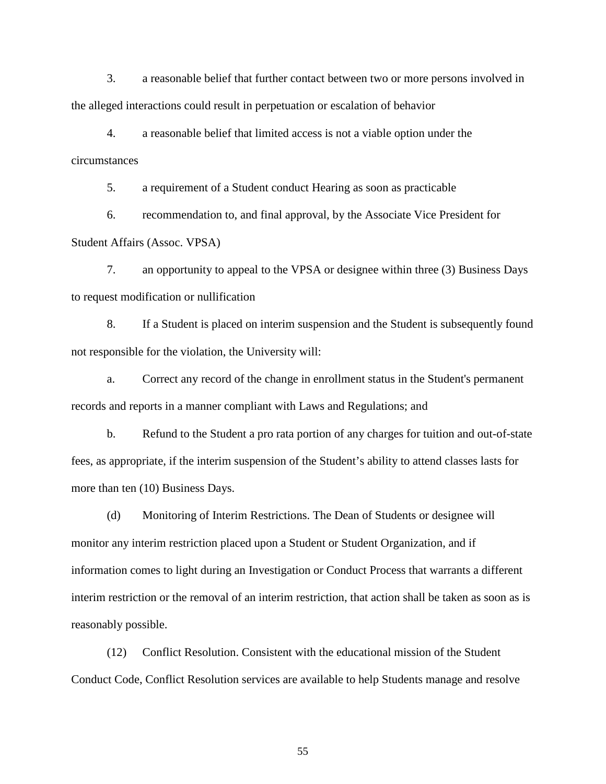3. a reasonable belief that further contact between two or more persons involved in the alleged interactions could result in perpetuation or escalation of behavior

4. a reasonable belief that limited access is not a viable option under the circumstances

5. a requirement of a Student conduct Hearing as soon as practicable

6. recommendation to, and final approval, by the Associate Vice President for Student Affairs (Assoc. VPSA)

7. an opportunity to appeal to the VPSA or designee within three (3) Business Days to request modification or nullification

8. If a Student is placed on interim suspension and the Student is subsequently found not responsible for the violation, the University will:

a. Correct any record of the change in enrollment status in the Student's permanent records and reports in a manner compliant with Laws and Regulations; and

b. Refund to the Student a pro rata portion of any charges for tuition and out-of-state fees, as appropriate, if the interim suspension of the Student's ability to attend classes lasts for more than ten (10) Business Days.

(d) Monitoring of Interim Restrictions. The Dean of Students or designee will monitor any interim restriction placed upon a Student or Student Organization, and if information comes to light during an Investigation or Conduct Process that warrants a different interim restriction or the removal of an interim restriction, that action shall be taken as soon as is reasonably possible.

(12) Conflict Resolution. Consistent with the educational mission of the Student Conduct Code, Conflict Resolution services are available to help Students manage and resolve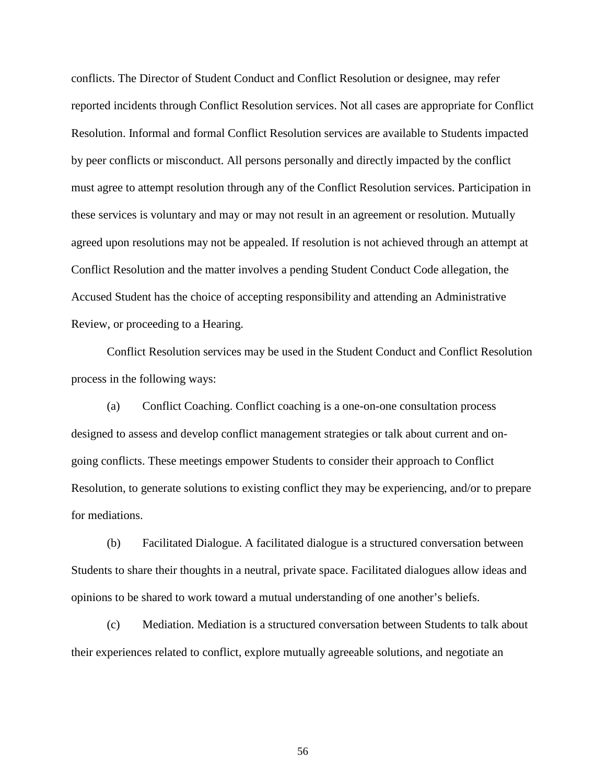conflicts. The Director of Student Conduct and Conflict Resolution or designee, may refer reported incidents through Conflict Resolution services. Not all cases are appropriate for Conflict Resolution. Informal and formal Conflict Resolution services are available to Students impacted by peer conflicts or misconduct. All persons personally and directly impacted by the conflict must agree to attempt resolution through any of the Conflict Resolution services. Participation in these services is voluntary and may or may not result in an agreement or resolution. Mutually agreed upon resolutions may not be appealed. If resolution is not achieved through an attempt at Conflict Resolution and the matter involves a pending Student Conduct Code allegation, the Accused Student has the choice of accepting responsibility and attending an Administrative Review, or proceeding to a Hearing.

Conflict Resolution services may be used in the Student Conduct and Conflict Resolution process in the following ways:

(a) Conflict Coaching. Conflict coaching is a one-on-one consultation process designed to assess and develop conflict management strategies or talk about current and ongoing conflicts. These meetings empower Students to consider their approach to Conflict Resolution, to generate solutions to existing conflict they may be experiencing, and/or to prepare for mediations.

(b) Facilitated Dialogue. A facilitated dialogue is a structured conversation between Students to share their thoughts in a neutral, private space. Facilitated dialogues allow ideas and opinions to be shared to work toward a mutual understanding of one another's beliefs.

(c) Mediation. Mediation is a structured conversation between Students to talk about their experiences related to conflict, explore mutually agreeable solutions, and negotiate an